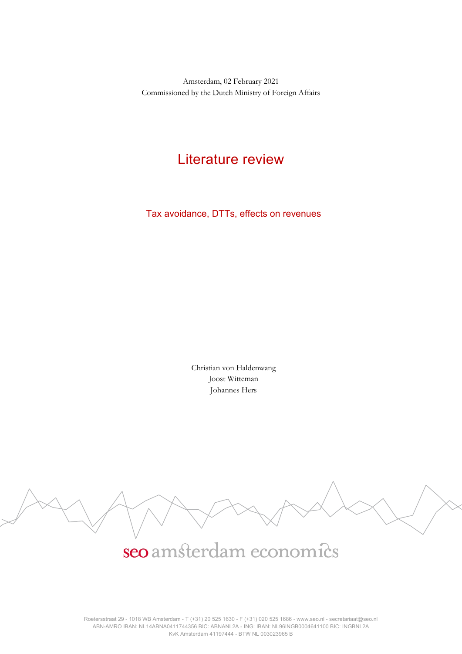Amsterdam, 02 February 2021 Commissioned by the Dutch Ministry of Foreign Affairs

## Literature review

Tax avoidance, DTTs, effects on revenues

Christian von Haldenwang Joost Witteman Johannes Hers



# seo amsterdam economics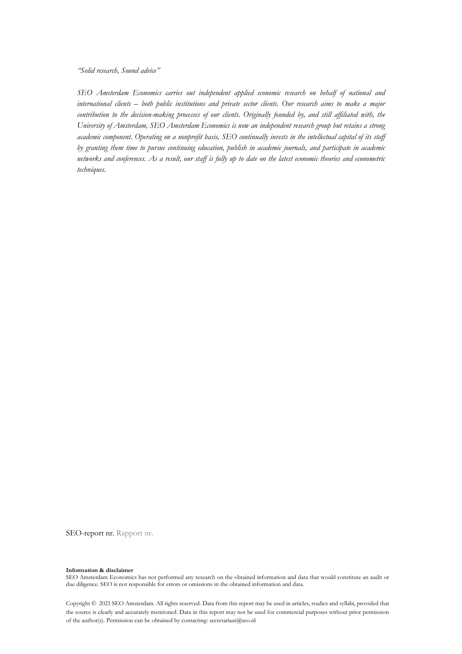*"Solid research, Sound advice"*

*SEO Amsterdam Economics carries out independent applied economic research on behalf of national and international clients – both public institutions and private sector clients. Our research aims to make a major contribution to the decision-making processes of our clients. Originally founded by, and still affiliated with, the University of Amsterdam, SEO Amsterdam Economics is now an independent research group but retains a strong academic component. Operating on a nonprofit basis, SEO continually invests in the intellectual capital of its staff by granting them time to pursue continuing education, publish in academic journals, and participate in academic networks and conferences. As a result, our staff is fully up to date on the latest economic theories and econometric techniques.*

SEO-report nr. Rapport nr.

#### **Information & disclaimer**

SEO Amsterdam Economics has not performed any research on the obtained information and data that would constitute an audit or due diligence. SEO is not responsible for errors or omissions in the obtained information and data.

Copyright © 2021 SEO Amsterdam. All rights reserved. Data from this report may be used in articles, studies and syllabi, provided that the source is clearly and accurately mentioned. Data in this report may not be used for commercial purposes without prior permission of the author(s). Permission can be obtained by contacting: secretariaat@seo.nl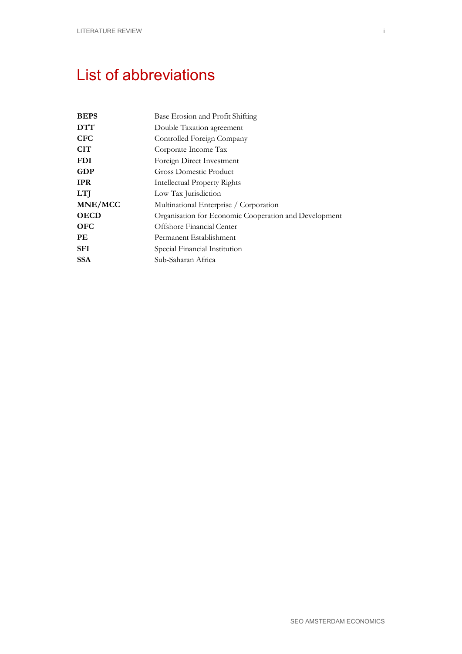# <span id="page-2-0"></span>List of abbreviations

| Base Erosion and Profit Shifting                      |
|-------------------------------------------------------|
| Double Taxation agreement                             |
| Controlled Foreign Company                            |
| Corporate Income Tax                                  |
| Foreign Direct Investment                             |
| Gross Domestic Product                                |
| Intellectual Property Rights                          |
| Low Tax Jurisdiction                                  |
| Multinational Enterprise / Corporation                |
| Organisation for Economic Cooperation and Development |
| Offshore Financial Center                             |
| Permanent Establishment                               |
| Special Financial Institution                         |
| Sub-Saharan Africa                                    |
|                                                       |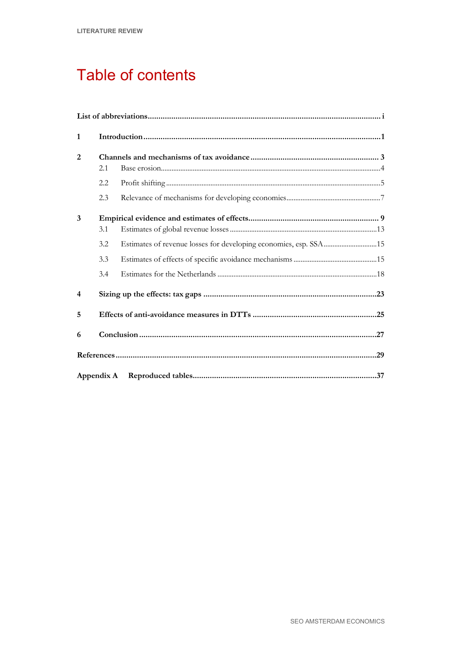# Table of contents

| $\mathbf{1}$   |            |                                                                  |  |
|----------------|------------|------------------------------------------------------------------|--|
| 2              |            |                                                                  |  |
|                | 2.1        |                                                                  |  |
|                | 2.2        |                                                                  |  |
|                | 2.3        |                                                                  |  |
| 3              |            |                                                                  |  |
|                | 3.1        |                                                                  |  |
|                | 3.2        | Estimates of revenue losses for developing economies, esp. SSA15 |  |
|                | 3.3        |                                                                  |  |
|                | 3.4        |                                                                  |  |
| $\overline{4}$ |            |                                                                  |  |
| 5              |            |                                                                  |  |
| 6              |            |                                                                  |  |
|                |            |                                                                  |  |
|                | Appendix A |                                                                  |  |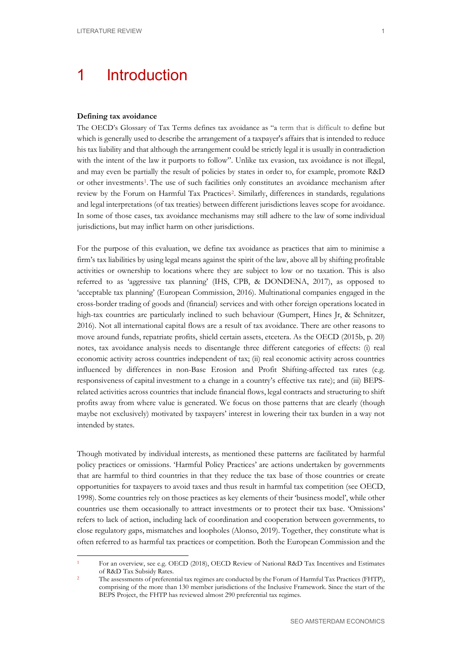# <span id="page-6-0"></span>1 Introduction

#### **Defining tax avoidance**

The OECD's Glossary of Tax Terms defines tax avoidance as "a term that is difficult to define but which is generally used to describe the arrangement of a taxpayer's affairs that is intended to reduce his tax liability and that although the arrangement could be strictly legal it is usually in contradiction with the intent of the law it purports to follow". Unlike tax evasion, tax avoidance is not illegal, and may even be partially the result of policies by states in order to, for example, promote R&D or other investments[1.](#page-6-1) The use of such facilities only constitutes an avoidance mechanism after review by the Forum on Harmful Tax Practices<sup>2</sup>. Similarly, differences in standards, regulations and legal interpretations (of tax treaties) between different jurisdictions leaves scope for avoidance. In some of those cases, tax avoidance mechanisms may still adhere to the law of some individual jurisdictions, but may inflict harm on other jurisdictions.

For the purpose of this evaluation, we define tax avoidance as practices that aim to minimise a firm's tax liabilities by using legal means against the spirit of the law, above all by shifting profitable activities or ownership to locations where they are subject to low or no taxation. This is also referred to as 'aggressive tax planning' (IHS, CPB, & DONDENA, 2017), as opposed to 'acceptable tax planning' (European Commission, 2016). Multinational companies engaged in the cross-border trading of goods and (financial) services and with other foreign operations located in high-tax countries are particularly inclined to such behaviour (Gumpert, Hines Jr, & Schnitzer, 2016). Not all international capital flows are a result of tax avoidance. There are other reasons to move around funds, repatriate profits, shield certain assets, etcetera. As the OECD (2015b, p. 20) notes, tax avoidance analysis needs to disentangle three different categories of effects: (i) real economic activity across countries independent of tax; (ii) real economic activity across countries influenced by differences in non-Base Erosion and Profit Shifting-affected tax rates (e.g. responsiveness of capital investment to a change in a country's effective tax rate); and (iii) BEPSrelated activities across countries that include financial flows, legal contracts and structuring to shift profits away from where value is generated. We focus on those patterns that are clearly (though maybe not exclusively) motivated by taxpayers' interest in lowering their tax burden in a way not intended by states.

Though motivated by individual interests, as mentioned these patterns are facilitated by harmful policy practices or omissions. 'Harmful Policy Practices' are actions undertaken by governments that are harmful to third countries in that they reduce the tax base of those countries or create opportunities for taxpayers to avoid taxes and thus result in harmful tax competition (see OECD, 1998). Some countries rely on those practices as key elements of their 'business model', while other countries use them occasionally to attract investments or to protect their tax base. 'Omissions' refers to lack of action, including lack of coordination and cooperation between governments, to close regulatory gaps, mismatches and loopholes (Alonso, 2019). Together, they constitute what is often referred to as harmful tax practices or competition. Both the European Commission and the

<span id="page-6-1"></span><sup>1</sup> For an overview, see e.g. OECD (2018), OECD Review of National R&D Tax Incentives and Estimates of R&D Tax Subsidy Rates.

<span id="page-6-2"></span><sup>2</sup> The assessments of preferential tax regimes are conducted by the Forum of Harmful Tax Practices (FHTP), comprising of the more than 130 member jurisdictions of the Inclusive Framework. Since the start of the BEPS Project, the FHTP has reviewed almost 290 preferential tax regimes.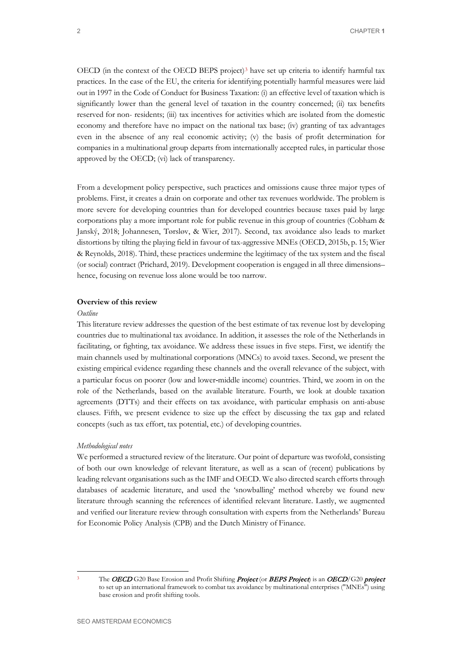OECD (in the context of the OECD BEPS project)<sup>[3](#page-7-0)</sup> have set up criteria to identify harmful tax practices. In the case of the EU, the criteria for identifying potentially harmful measures were laid out in 1997 in the Code of Conduct for Business Taxation: (i) an effective level of taxation which is significantly lower than the general level of taxation in the country concerned; (ii) tax benefits reserved for non- residents; (iii) tax incentives for activities which are isolated from the domestic economy and therefore have no impact on the national tax base; (iv) granting of tax advantages even in the absence of any real economic activity; (v) the basis of profit determination for companies in a multinational group departs from internationally accepted rules, in particular those approved by the OECD; (vi) lack of transparency.

From a development policy perspective, such practices and omissions cause three major types of problems. First, it creates a drain on corporate and other tax revenues worldwide. The problem is more severe for developing countries than for developed countries because taxes paid by large corporations play a more important role for public revenue in this group of countries (Cobham & Janský, 2018; Johannesen, Tørsløv, & Wier, 2017). Second, tax avoidance also leads to market distortions by tilting the playing field in favour of tax-aggressive MNEs(OECD, 2015b, p. 15; Wier & Reynolds, 2018). Third, these practices undermine the legitimacy of the tax system and the fiscal (or social) contract (Prichard, 2019). Development cooperation is engaged in all three dimensions– hence, focusing on revenue loss alone would be too narrow.

#### **Overview of this review**

#### *Outline*

This literature review addresses the question of the best estimate of tax revenue lost by developing countries due to multinational tax avoidance. In addition, it assesses the role of the Netherlands in facilitating, or fighting, tax avoidance. We address these issues in five steps. First, we identify the main channels used by multinational corporations (MNCs) to avoid taxes. Second, we present the existing empirical evidence regarding these channels and the overall relevance of the subject, with a particular focus on poorer (low and lower-middle income) countries. Third, we zoom in on the role of the Netherlands, based on the available literature. Fourth, we look at double taxation agreements (DTTs) and their effects on tax avoidance, with particular emphasis on anti-abuse clauses. Fifth, we present evidence to size up the effect by discussing the tax gap and related concepts (such as tax effort, tax potential, etc.) of developing countries.

#### *Methodological notes*

We performed a structured review of the literature. Our point of departure was twofold, consisting of both our own knowledge of relevant literature, as well as a scan of (recent) publications by leading relevant organisations such as the IMF and OECD. We also directed search efforts through databases of academic literature, and used the 'snowballing' method whereby we found new literature through scanning the references of identified relevant literature. Lastly, we augmented and verified our literature review through consultation with experts from the Netherlands' Bureau for Economic Policy Analysis (CPB) and the Dutch Ministry of Finance.

<span id="page-7-0"></span>

The OECD G20 Base Erosion and Profit Shifting Project (or BEPS Project) is an OECD/G20 project to set up an international framework to combat tax avoidance by multinational enterprises ("MNEs") using base erosion and profit shifting tools.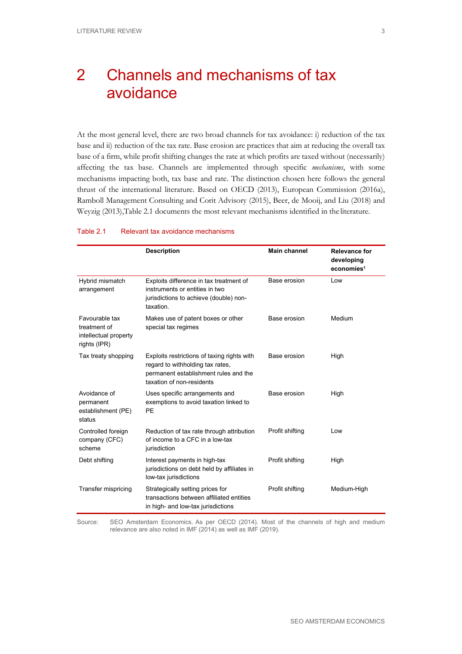# <span id="page-8-0"></span>2 Channels and mechanisms of tax avoidance

At the most general level, there are two broad channels for tax avoidance: i) reduction of the tax base and ii) reduction of the tax rate. Base erosion are practices that aim at reducing the overall tax base of a firm, while profit shifting changes the rate at which profits are taxed without (necessarily) affecting the tax base. Channels are implemented through specific *mechanisms*, with some mechanisms impacting both, tax base and rate. The distinction chosen here follows the general thrust of the international literature. Based on OECD (2013), European Commission (2016a), Ramboll Management Consulting and Corit Advisory (2015), Beer, de Mooij, and Liu (2018) and Weyzig (2013[\),Table 2.1](#page-8-1) documents the most relevant mechanisms identified in the literature.

#### <span id="page-8-1"></span>Table 2.1 Relevant tax avoidance mechanisms

|                                                                         | <b>Description</b>                                                                                                                                    | <b>Main channel</b> | <b>Relevance for</b><br>developing<br>economies <sup>1</sup> |
|-------------------------------------------------------------------------|-------------------------------------------------------------------------------------------------------------------------------------------------------|---------------------|--------------------------------------------------------------|
| Hybrid mismatch<br>arrangement                                          | Exploits difference in tax treatment of<br>instruments or entities in two<br>jurisdictions to achieve (double) non-<br>taxation.                      | Base erosion        | Low                                                          |
| Favourable tax<br>treatment of<br>intellectual property<br>rights (IPR) | Makes use of patent boxes or other<br>special tax regimes                                                                                             | Base erosion        | Medium                                                       |
| Tax treaty shopping                                                     | Exploits restrictions of taxing rights with<br>regard to withholding tax rates,<br>permanent establishment rules and the<br>taxation of non-residents | Base erosion        | High                                                         |
| Avoidance of<br>permanent<br>establishment (PE)<br>status               | Uses specific arrangements and<br>exemptions to avoid taxation linked to<br>PE                                                                        | Base erosion        | High                                                         |
| Controlled foreign<br>company (CFC)<br>scheme                           | Reduction of tax rate through attribution<br>of income to a CFC in a low-tax<br>jurisdiction                                                          | Profit shifting     | Low                                                          |
| Debt shifting                                                           | Interest payments in high-tax<br>jurisdictions on debt held by affiliates in<br>low-tax jurisdictions                                                 | Profit shifting     | High                                                         |
| Transfer mispricing                                                     | Strategically setting prices for<br>transactions between affiliated entities<br>in high- and low-tax jurisdictions                                    | Profit shifting     | Medium-High                                                  |

Source: SEO Amsterdam Economics. As per OECD (2014). Most of the channels of high and medium relevance are also noted in IMF (2014) as well as IMF (2019).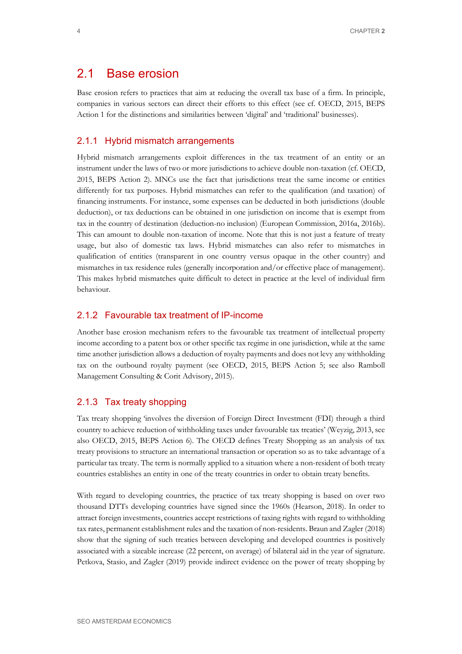### <span id="page-9-0"></span>2.1 Base erosion

Base erosion refers to practices that aim at reducing the overall tax base of a firm. In principle, companies in various sectors can direct their efforts to this effect (see cf. OECD, 2015, BEPS Action 1 for the distinctions and similarities between 'digital' and 'traditional' businesses).

#### 2.1.1 Hybrid mismatch arrangements

Hybrid mismatch arrangements exploit differences in the tax treatment of an entity or an instrument under the laws of two or more jurisdictions to achieve double non-taxation (cf. OECD, 2015, BEPS Action 2). MNCs use the fact that jurisdictions treat the same income or entities differently for tax purposes. Hybrid mismatches can refer to the qualification (and taxation) of financing instruments. For instance, some expenses can be deducted in both jurisdictions (double deduction), or tax deductions can be obtained in one jurisdiction on income that is exempt from tax in the country of destination (deduction-no inclusion) (European Commission, 2016a, 2016b). This can amount to double non-taxation of income. Note that this is not just a feature of treaty usage, but also of domestic tax laws. Hybrid mismatches can also refer to mismatches in qualification of entities (transparent in one country versus opaque in the other country) and mismatches in tax residence rules (generally incorporation and/or effective place of management). This makes hybrid mismatches quite difficult to detect in practice at the level of individual firm behaviour.

#### 2.1.2 Favourable tax treatment of IP-income

Another base erosion mechanism refers to the favourable tax treatment of intellectual property income according to a patent box or other specific tax regime in one jurisdiction, while at the same time another jurisdiction allows a deduction of royalty payments and does not levy any withholding tax on the outbound royalty payment (see OECD, 2015, BEPS Action 5; see also Ramboll Management Consulting & Corit Advisory, 2015).

#### 2.1.3 Tax treaty shopping

Tax treaty shopping 'involves the diversion of Foreign Direct Investment (FDI) through a third country to achieve reduction of withholding taxes under favourable tax treaties' (Weyzig, 2013, see also OECD, 2015, BEPS Action 6). The OECD defines Treaty Shopping as an analysis of tax treaty provisions to structure an international transaction or operation so as to take advantage of a particular tax treaty. The term is normally applied to a situation where a non-resident of both treaty countries establishes an entity in one of the treaty countries in order to obtain treaty benefits.

With regard to developing countries, the practice of tax treaty shopping is based on over two thousand DTTs developing countries have signed since the 1960s (Hearson, 2018). In order to attract foreign investments, countries accept restrictions of taxing rights with regard to withholding tax rates, permanent establishment rules and the taxation of non-residents. Braun and Zagler (2018) show that the signing of such treaties between developing and developed countries is positively associated with a sizeable increase (22 percent, on average) of bilateral aid in the year of signature. Petkova, Stasio, and Zagler (2019) provide indirect evidence on the power of treaty shopping by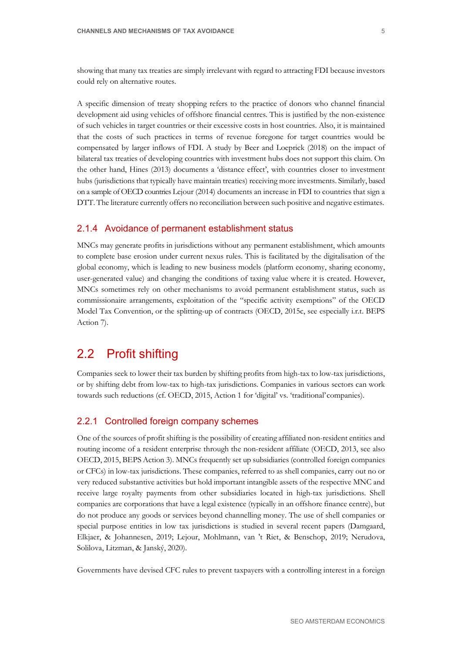showing that many tax treaties are simply irrelevant with regard to attracting FDI because investors could rely on alternative routes.

A specific dimension of treaty shopping refers to the practice of donors who channel financial development aid using vehicles of offshore financial centres. This is justified by the non-existence of such vehicles in target countries or their excessive costs in host countries. Also, it is maintained that the costs of such practices in terms of revenue foregone for target countries would be compensated by larger inflows of FDI. A study by Beer and Loeprick (2018) on the impact of bilateral tax treaties of developing countries with investment hubs does not support this claim. On the other hand, Hines (2013) documents a 'distance effect', with countries closer to investment hubs (jurisdictions that typically have maintain treaties) receiving more investments. Similarly, based on a sample of OECD countries Lejour (2014) documents an increase in FDI to countries that sign a DTT. The literature currently offers no reconciliation between such positive and negative estimates.

#### 2.1.4 Avoidance of permanent establishment status

MNCs may generate profits in jurisdictions without any permanent establishment, which amounts to complete base erosion under current nexus rules. This is facilitated by the digitalisation of the global economy, which is leading to new business models (platform economy, sharing economy, user-generated value) and changing the conditions of taxing value where it is created. However, MNCs sometimes rely on other mechanisms to avoid permanent establishment status, such as commissionaire arrangements, exploitation of the "specific activity exemptions" of the OECD Model Tax Convention, or the splitting-up of contracts (OECD, 2015c, see especially i.r.t. BEPS Action 7).

## <span id="page-10-0"></span>2.2 Profit shifting

Companies seek to lower their tax burden by shifting profits from high-tax to low-tax jurisdictions, or by shifting debt from low-tax to high-tax jurisdictions. Companies in various sectors can work towards such reductions (cf. OECD, 2015, Action 1 for 'digital' vs. 'traditional'companies).

### 2.2.1 Controlled foreign company schemes

One of the sources of profit shifting is the possibility of creating affiliated non-resident entities and routing income of a resident enterprise through the non-resident affiliate (OECD, 2013, see also OECD, 2015, BEPS Action 3). MNCs frequently set up subsidiaries (controlled foreign companies or CFCs) in low-tax jurisdictions. These companies, referred to as shell companies, carry out no or very reduced substantive activities but hold important intangible assets of the respective MNC and receive large royalty payments from other subsidiaries located in high-tax jurisdictions. Shell companies are corporations that have a legal existence (typically in an offshore finance centre), but do not produce any goods or services beyond channelling money. The use of shell companies or special purpose entities in low tax jurisdictions is studied in several recent papers (Damgaard, Elkjaer, & Johannesen, 2019; Lejour, Mohlmann, van 't Riet, & Benschop, 2019; Nerudova, Solilova, Litzman, & Janský, 2020).

Governments have devised CFC rules to prevent taxpayers with a controlling interest in a foreign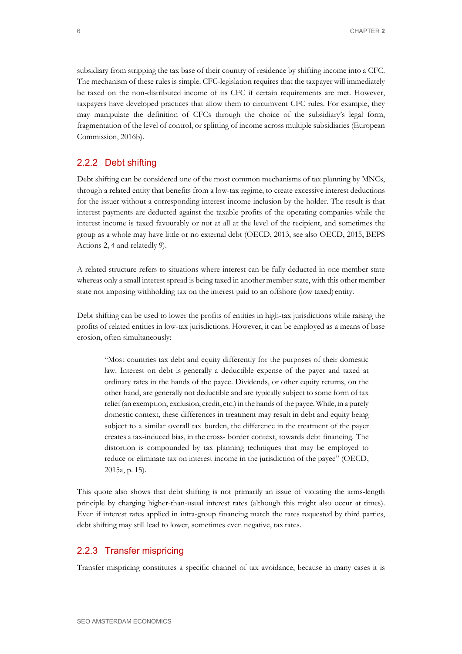subsidiary from stripping the tax base of their country of residence by shifting income into a CFC. The mechanism of these rules is simple. CFC-legislation requires that the taxpayer will immediately be taxed on the non-distributed income of its CFC if certain requirements are met. However, taxpayers have developed practices that allow them to circumvent CFC rules. For example, they may manipulate the definition of CFCs through the choice of the subsidiary's legal form, fragmentation of the level of control, or splitting of income across multiple subsidiaries (European Commission, 2016b).

### 2.2.2 Debt shifting

Debt shifting can be considered one of the most common mechanisms of tax planning by MNCs, through a related entity that benefits from a low-tax regime, to create excessive interest deductions for the issuer without a corresponding interest income inclusion by the holder. The result is that interest payments are deducted against the taxable profits of the operating companies while the interest income is taxed favourably or not at all at the level of the recipient, and sometimes the group as a whole may have little or no external debt (OECD, 2013, see also OECD, 2015, BEPS Actions 2, 4 and relatedly 9).

A related structure refers to situations where interest can be fully deducted in one member state whereas only a small interest spread is being taxed in another member state, with this other member state not imposing withholding tax on the interest paid to an offshore (low taxed) entity.

Debt shifting can be used to lower the profits of entities in high-tax jurisdictions while raising the profits of related entities in low-tax jurisdictions. However, it can be employed as a means of base erosion, often simultaneously:

"Most countries tax debt and equity differently for the purposes of their domestic law. Interest on debt is generally a deductible expense of the payer and taxed at ordinary rates in the hands of the payee. Dividends, or other equity returns, on the other hand, are generally not deductible and are typically subject to some form of tax relief (an exemption, exclusion, credit, etc.) in the hands of the payee. While, in a purely domestic context, these differences in treatment may result in debt and equity being subject to a similar overall tax burden, the difference in the treatment of the payer creates a tax-induced bias, in the cross- border context, towards debt financing. The distortion is compounded by tax planning techniques that may be employed to reduce or eliminate tax on interest income in the jurisdiction of the payee" (OECD, 2015a, p. 15).

This quote also shows that debt shifting is not primarily an issue of violating the arms-length principle by charging higher-than-usual interest rates (although this might also occur at times). Even if interest rates applied in intra-group financing match the rates requested by third parties, debt shifting may still lead to lower, sometimes even negative, tax rates.

#### 2.2.3 Transfer mispricing

Transfer mispricing constitutes a specific channel of tax avoidance, because in many cases it is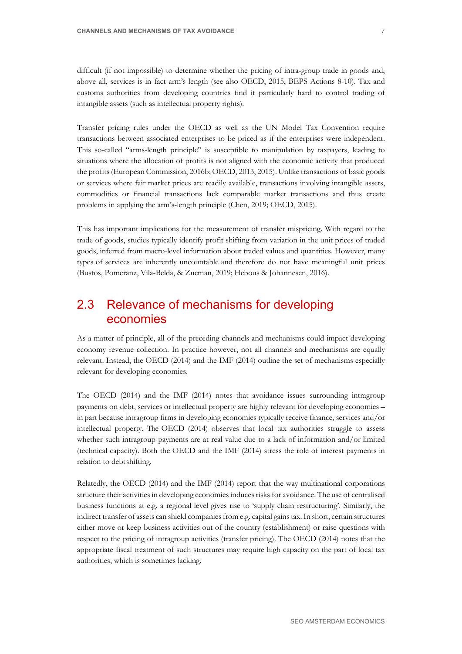difficult (if not impossible) to determine whether the pricing of intra-group trade in goods and, above all, services is in fact arm's length (see also OECD, 2015, BEPS Actions 8-10). Tax and customs authorities from developing countries find it particularly hard to control trading of intangible assets (such as intellectual property rights).

Transfer pricing rules under the OECD as well as the UN Model Tax Convention require transactions between associated enterprises to be priced as if the enterprises were independent. This so-called "arms-length principle" is susceptible to manipulation by taxpayers, leading to situations where the allocation of profits is not aligned with the economic activity that produced the profits (European Commission, 2016b; OECD, 2013, 2015). Unlike transactions of basic goods or services where fair market prices are readily available, transactions involving intangible assets, commodities or financial transactions lack comparable market transactions and thus create problems in applying the arm's-length principle (Chen, 2019; OECD, 2015).

This has important implications for the measurement of transfer mispricing. With regard to the trade of goods, studies typically identify profit shifting from variation in the unit prices of traded goods, inferred from macro-level information about traded values and quantities. However, many types of services are inherently uncountable and therefore do not have meaningful unit prices (Bustos, Pomeranz, Vila-Belda, & Zucman, 2019; Hebous & Johannesen, 2016).

## <span id="page-12-0"></span>2.3 Relevance of mechanisms for developing economies

As a matter of principle, all of the preceding channels and mechanisms could impact developing economy revenue collection. In practice however, not all channels and mechanisms are equally relevant. Instead, the OECD (2014) and the IMF (2014) outline the set of mechanisms especially relevant for developing economies.

The OECD (2014) and the IMF (2014) notes that avoidance issues surrounding intragroup payments on debt, services or intellectual property are highly relevant for developing economies – in part because intragroup firms in developing economies typically receive finance, services and/or intellectual property. The OECD (2014) observes that local tax authorities struggle to assess whether such intragroup payments are at real value due to a lack of information and/or limited (technical capacity). Both the OECD and the IMF (2014) stress the role of interest payments in relation to debtshifting.

Relatedly, the OECD (2014) and the IMF (2014) report that the way multinational corporations structure their activities in developing economies induces risks for avoidance. The use of centralised business functions at e.g. a regional level gives rise to 'supply chain restructuring'. Similarly, the indirect transfer of assets can shield companies from e.g. capital gains tax. In short, certain structures either move or keep business activities out of the country (establishment) or raise questions with respect to the pricing of intragroup activities (transfer pricing). The OECD (2014) notes that the appropriate fiscal treatment of such structures may require high capacity on the part of local tax authorities, which is sometimes lacking.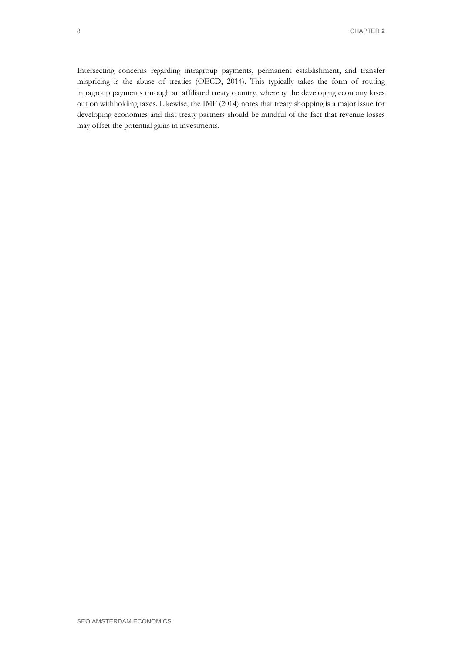Intersecting concerns regarding intragroup payments, permanent establishment, and transfer mispricing is the abuse of treaties (OECD, 2014). This typically takes the form of routing intragroup payments through an affiliated treaty country, whereby the developing economy loses out on withholding taxes. Likewise, the IMF (2014) notes that treaty shopping is a major issue for developing economies and that treaty partners should be mindful of the fact that revenue losses may offset the potential gains in investments.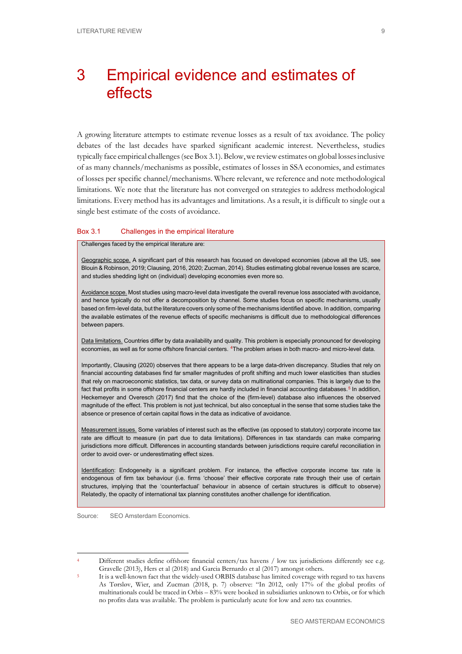# <span id="page-14-0"></span>3 Empirical evidence and estimates of effects

A growing literature attempts to estimate revenue losses as a result of tax avoidance. The policy debates of the last decades have sparked significant academic interest. Nevertheless, studies typically face empirical challenges(se[eBox 3.1\)](#page-14-1).Below,we reviewestimates on global lossesinclusive of as many channels/mechanisms as possible, estimates of losses in SSA economies, and estimates of losses per specific channel/mechanisms. Where relevant, we reference and note methodological limitations. We note that the literature has not converged on strategies to address methodological limitations. Every method has its advantages and limitations. As a result, it is difficult to single out a single best estimate of the costs of avoidance.

#### <span id="page-14-1"></span>Box 3.1 Challenges in the empirical literature

Challenges faced by the empirical literature are:

Geographic scope. A significant part of this research has focused on developed economies (above all the US, see Blouin & Robinson, 2019; Clausing, 2016, 2020; Zucman, 2014). Studies estimating global revenue losses are scarce, and studies shedding light on (individual) developing economies even more so.

Avoidance scope. Most studies using macro-level data investigate the overall revenue loss associated with avoidance, and hence typically do not offer a decomposition by channel. Some studies focus on specific mechanisms, usually based on firm-level data, but the literature covers only some of the mechanisms identified above. In addition, comparing the available estimates of the revenue effects of specific mechanisms is difficult due to methodological differences between papers.

Data limitations. Countries differ by data availability and quality. This problem is especially pronounced for developing economies, as well as for some offshore financial centers. [4T](#page-14-2)he problem arises in both macro- and micro-level data.

Importantly, Clausing (2020) observes that there appears to be a large data-driven discrepancy. Studies that rely on financial accounting databases find far smaller magnitudes of profit shifting and much lower elasticities than studies that rely on macroeconomic statistics, tax data, or survey data on multinational companies. This is largely due to the fact that profits in some offshore financial centers are hardly included in financial accounting databases.<sup>[5](#page-14-3)</sup> In addition, Heckemeyer and Overesch (2017) find that the choice of the (firm-level) database also influences the observed magnitude of the effect. This problem is not just technical, but also conceptual in the sense that some studies take the absence or presence of certain capital flows in the data as indicative of avoidance.

Measurement issues. Some variables of interest such as the effective (as opposed to statutory) corporate income tax rate are difficult to measure (in part due to data limitations). Differences in tax standards can make comparing jurisdictions more difficult. Differences in accounting standards between jurisdictions require careful reconciliation in order to avoid over- or underestimating effect sizes.

Identification: Endogeneity is a significant problem. For instance, the effective corporate income tax rate is endogenous of firm tax behaviour (i.e. firms 'choose' their effective corporate rate through their use of certain structures, implying that the 'counterfactual' behaviour in absence of certain structures is difficult to observe) Relatedly, the opacity of international tax planning constitutes another challenge for identification.

<span id="page-14-2"></span>Different studies define offshore financial centers/tax havens / low tax jurisdictions differently see e.g. Gravelle (2013), Hers et al (2018) and Garcia Bernardo et al (2017) amongst others.<br>It is a well-known fact that the widely-used ORBIS database has limited coverage with regard to tax havens

<span id="page-14-3"></span>As Tørsløv, Wier, and Zucman (2018, p. 7) observe: "In 2012, only 17% of the global profits of multinationals could be traced in Orbis – 83% were booked in subsidiaries unknown to Orbis, or for which no profits data was available. The problem is particularly acute for low and zero tax countries.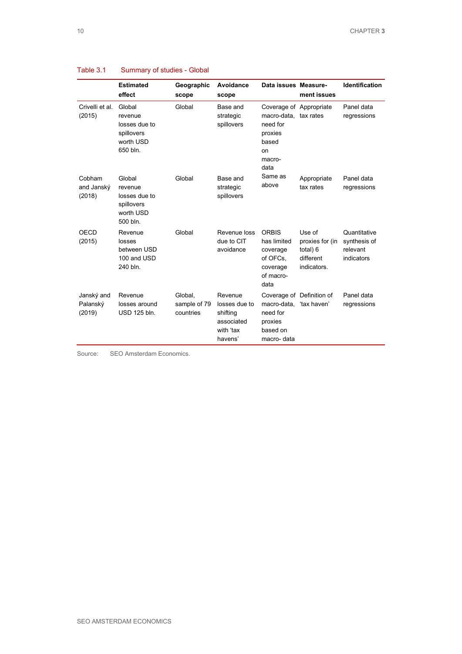|                                  | <b>Estimated</b><br>effect                                                | Geographic<br>scope                  | Avoidance<br>scope                                                         | Data issues Measure-                                                                                     | ment issues                                                       | <b>Identification</b>                                  |
|----------------------------------|---------------------------------------------------------------------------|--------------------------------------|----------------------------------------------------------------------------|----------------------------------------------------------------------------------------------------------|-------------------------------------------------------------------|--------------------------------------------------------|
| Crivelli et al.<br>(2015)        | Global<br>revenue<br>losses due to<br>spillovers<br>worth USD<br>650 bln. | Global                               | Base and<br>strategic<br>spillovers                                        | Coverage of Appropriate<br>macro-data, tax rates<br>need for<br>proxies<br>based<br>on<br>macro-<br>data |                                                                   | Panel data<br>regressions                              |
| Cobham<br>and Janský<br>(2018)   | Global<br>revenue<br>losses due to<br>spillovers<br>worth USD<br>500 bln. | Global                               | Base and<br>strategic<br>spillovers                                        | Same as<br>above                                                                                         | Appropriate<br>tax rates                                          | Panel data<br>regressions                              |
| OECD<br>(2015)                   | Revenue<br>losses<br>between USD<br>100 and USD<br>240 bln.               | Global                               | Revenue loss<br>due to CIT<br>avoidance                                    | <b>ORBIS</b><br>has limited<br>coverage<br>of OFCs,<br>coverage<br>of macro-<br>data                     | Use of<br>proxies for (in<br>total) 6<br>different<br>indicators. | Quantitative<br>synthesis of<br>relevant<br>indicators |
| Janský and<br>Palanský<br>(2019) | Revenue<br>losses around<br><b>USD 125 bln.</b>                           | Global.<br>sample of 79<br>countries | Revenue<br>losses due to<br>shifting<br>associated<br>with 'tax<br>havens' | macro-data. 'tax haven'<br>need for<br>proxies<br>based on<br>macro- data                                | Coverage of Definition of                                         | Panel data<br>regressions                              |

### <span id="page-15-0"></span>Table 3.1 Summary of studies - Global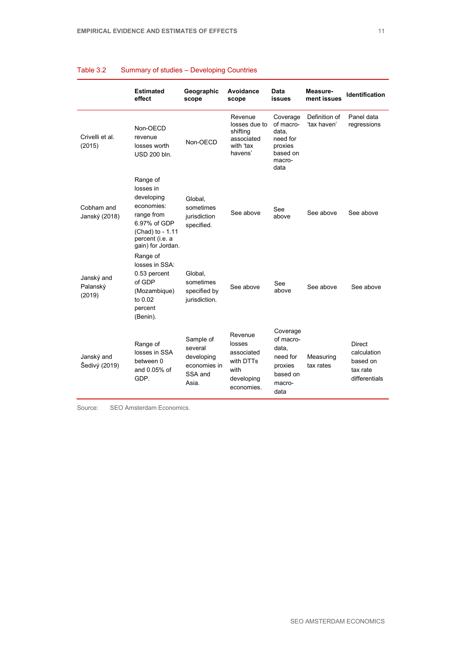|                                  | <b>Estimated</b><br>effect                                                                                                                  | Geographic<br>scope                                                    | Avoidance<br>scope                                                               | Data<br>issues                                                                      | Measure-<br>ment issues      | Identification                                                 |
|----------------------------------|---------------------------------------------------------------------------------------------------------------------------------------------|------------------------------------------------------------------------|----------------------------------------------------------------------------------|-------------------------------------------------------------------------------------|------------------------------|----------------------------------------------------------------|
| Crivelli et al.<br>(2015)        | Non-OECD<br>revenue<br>losses worth<br>USD 200 bln.                                                                                         | Non-OECD                                                               | Revenue<br>losses due to<br>shifting<br>associated<br>with 'tax<br>havens'       | Coverage<br>of macro-<br>data.<br>need for<br>proxies<br>based on<br>macro-<br>data | Definition of<br>'tax haven' | Panel data<br>regressions                                      |
| Cobham and<br>Janský (2018)      | Range of<br>losses in<br>developing<br>economies:<br>range from<br>6.97% of GDP<br>(Chad) to - 1.11<br>percent (i.e. a<br>gain) for Jordan. | Global.<br>sometimes<br>jurisdiction<br>specified.                     | See above                                                                        | See<br>above                                                                        | See above                    | See above                                                      |
| Janský and<br>Palanský<br>(2019) | Range of<br>losses in SSA:<br>0.53 percent<br>of GDP<br>(Mozambique)<br>to 0.02<br>percent<br>(Benin).                                      | Global.<br>sometimes<br>specified by<br>jurisdiction.                  | See above                                                                        | See<br>above                                                                        | See above                    | See above                                                      |
| Janský and<br>Šedivý (2019)      | Range of<br>losses in SSA<br>between 0<br>and 0.05% of<br>GDP.                                                                              | Sample of<br>several<br>developing<br>economies in<br>SSA and<br>Asia. | Revenue<br>losses<br>associated<br>with DTTs<br>with<br>developing<br>economies. | Coverage<br>of macro-<br>data,<br>need for<br>proxies<br>based on<br>macro-<br>data | Measuring<br>tax rates       | Direct<br>calculation<br>based on<br>tax rate<br>differentials |

### Table 3.2 Summary of studies – Developing Countries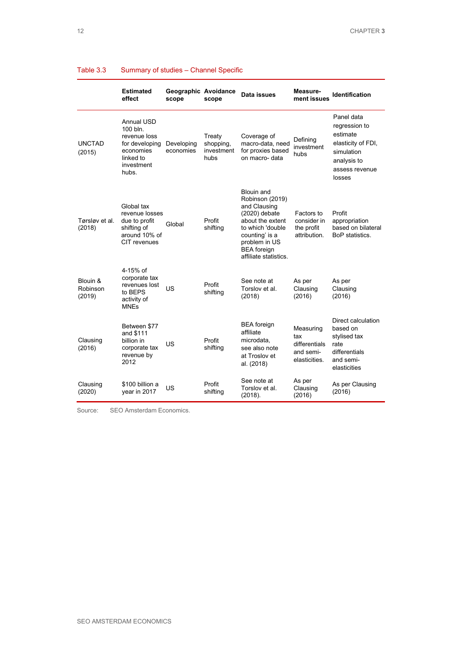|                                | <b>Estimated</b><br>effect                                                                                       | Geographic Avoidance<br>scope | scope                                     | Data issues                                                                                                                                                                                     | Measure-<br>ment issues                                         | <b>Identification</b>                                                                                                  |
|--------------------------------|------------------------------------------------------------------------------------------------------------------|-------------------------------|-------------------------------------------|-------------------------------------------------------------------------------------------------------------------------------------------------------------------------------------------------|-----------------------------------------------------------------|------------------------------------------------------------------------------------------------------------------------|
| <b>UNCTAD</b><br>(2015)        | <b>Annual USD</b><br>100 bln.<br>revenue loss<br>for developing<br>economies<br>linked to<br>investment<br>hubs. | Developing<br>economies       | Treaty<br>shopping,<br>investment<br>hubs | Coverage of<br>macro-data, need<br>for proxies based<br>on macro- data                                                                                                                          | Defining<br>investment<br>hubs                                  | Panel data<br>regression to<br>estimate<br>elasticity of FDI,<br>simulation<br>analysis to<br>assess revenue<br>losses |
| Tørsløv et al.<br>(2018)       | Global tax<br>revenue losses<br>due to profit<br>shifting of<br>around 10% of<br>CIT revenues                    | Global                        | Profit<br>shifting                        | <b>Blouin and</b><br>Robinson (2019)<br>and Clausing<br>(2020) debate<br>about the extent<br>to which 'double<br>counting' is a<br>problem in US<br><b>BEA</b> foreign<br>affiliate statistics. | Factors to<br>consider in<br>the profit<br>attribution.         | Profit<br>appropriation<br>based on bilateral<br>BoP statistics.                                                       |
| Blouin &<br>Robinson<br>(2019) | 4-15% of<br>corporate tax<br>revenues lost<br>to BEPS<br>activity of<br><b>MNFs</b>                              | US                            | Profit<br>shifting                        | See note at<br>Torslov et al.<br>(2018)                                                                                                                                                         | As per<br>Clausing<br>(2016)                                    | As per<br>Clausing<br>(2016)                                                                                           |
| Clausing<br>(2016)             | Between \$77<br>and \$111<br>billion in<br>corporate tax<br>revenue by<br>2012                                   | US                            | Profit<br>shifting                        | <b>BEA</b> foreign<br>affiliate<br>microdata.<br>see also note<br>at Troslov et<br>al. (2018)                                                                                                   | Measuring<br>tax<br>differentials<br>and semi-<br>elasticities. | Direct calculation<br>based on<br>stylised tax<br>rate<br>differentials<br>and semi-<br>elasticities                   |
| Clausing<br>(2020)             | \$100 billion a<br>year in 2017                                                                                  | US                            | Profit<br>shifting                        | See note at<br>Torslov et al.<br>(2018).                                                                                                                                                        | As per<br>Clausing<br>(2016)                                    | As per Clausing<br>(2016)                                                                                              |

### Table 3.3 Summary of studies – Channel Specific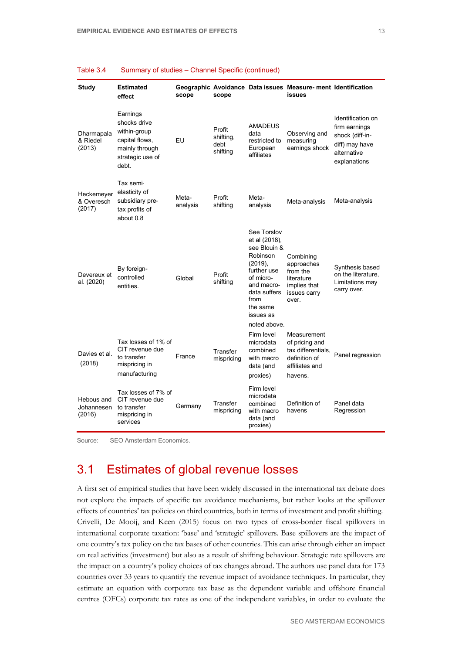| Study                              | <b>Estimated</b><br>effect                                                                                | scope             | scope                                   |                                                                                                                                                                                | Geographic Avoidance Data issues Measure- ment Identification<br>issues                           |                                                                                                        |
|------------------------------------|-----------------------------------------------------------------------------------------------------------|-------------------|-----------------------------------------|--------------------------------------------------------------------------------------------------------------------------------------------------------------------------------|---------------------------------------------------------------------------------------------------|--------------------------------------------------------------------------------------------------------|
| Dharmapala<br>& Riedel<br>(2013)   | Earnings<br>shocks drive<br>within-group<br>capital flows,<br>mainly through<br>strategic use of<br>debt. | EU                | Profit<br>shifting,<br>debt<br>shifting | <b>AMADEUS</b><br>data<br>restricted to<br>European<br>affiliates                                                                                                              | Observing and<br>measuring<br>earnings shock                                                      | Identification on<br>firm earnings<br>shock (diff-in-<br>diff) may have<br>alternative<br>explanations |
| Heckemeyer<br>& Overesch<br>(2017) | Tax semi-<br>elasticity of<br>subsidiary pre-<br>tax profits of<br>about 0.8                              | Meta-<br>analysis | Profit<br>shifting                      | Meta-<br>analysis                                                                                                                                                              | Meta-analysis                                                                                     | Meta-analysis                                                                                          |
| Devereux et<br>al. (2020)          | By foreign-<br>controlled<br>entities.                                                                    | Global            | Profit<br>shifting                      | See Torslov<br>et al (2018),<br>see Blouin &<br>Robinson<br>(2019),<br>further use<br>of micro-<br>and macro-<br>data suffers<br>from<br>the same<br>issues as<br>noted above. | Combining<br>approaches<br>from the<br>literature<br>implies that<br>issues carry<br>over.        | Synthesis based<br>on the literature,<br>Limitations may<br>carry over.                                |
| Davies et al.<br>(2018)            | Tax losses of 1% of<br>CIT revenue due<br>to transfer<br>mispricing in<br>manufacturing                   | France            | Transfer<br>mispricing                  | Firm level<br>microdata<br>combined<br>with macro<br>data (and<br>proxies)                                                                                                     | Measurement<br>of pricing and<br>tax differentials,<br>definition of<br>affiliates and<br>havens. | Panel regression                                                                                       |
| Hebous and<br>Johannesen<br>(2016) | Tax losses of 7% of<br>CIT revenue due<br>to transfer<br>mispricing in<br>services                        | Germany           | Transfer<br>mispricing                  | Firm level<br>microdata<br>combined<br>with macro<br>data (and<br>proxies)                                                                                                     | Definition of<br>havens                                                                           | Panel data<br>Regression                                                                               |

<span id="page-18-1"></span>

| Table 3.4 |  | Summary of studies - Channel Specific (continued) |  |  |  |
|-----------|--|---------------------------------------------------|--|--|--|
|-----------|--|---------------------------------------------------|--|--|--|

Source: SEO Amsterdam Economics.

## <span id="page-18-0"></span>3.1 Estimates of global revenue losses

A first set of empirical studies that have been widely discussed in the international tax debate does not explore the impacts of specific tax avoidance mechanisms, but rather looks at the spillover effects of countries' tax policies on third countries, both in terms of investment and profit shifting. Crivelli, De Mooij, and Keen (2015) focus on two types of cross-border fiscal spillovers in international corporate taxation: 'base' and 'strategic' spillovers. Base spillovers are the impact of one country's tax policy on the tax bases of other countries. This can arise through either an impact on real activities (investment) but also as a result of shifting behaviour. Strategic rate spillovers are the impact on a country's policy choices of tax changes abroad. The authors use panel data for 173 countries over 33 years to quantify the revenue impact of avoidance techniques. In particular, they estimate an equation with corporate tax base as the dependent variable and offshore financial centres (OFCs) corporate tax rates as one of the independent variables, in order to evaluate the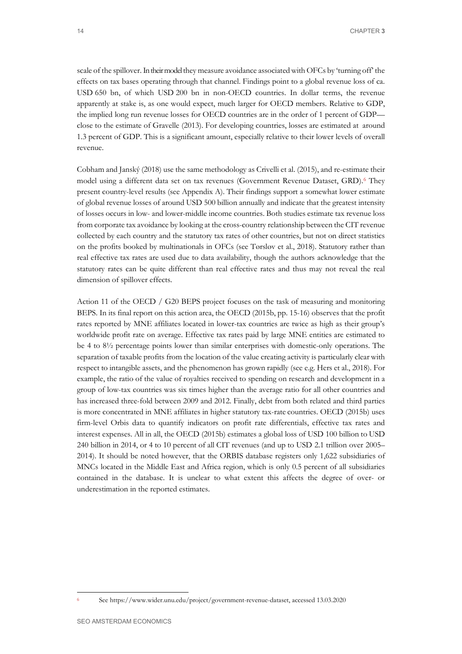scale of the spillover. In their model they measure avoidance associated with OFCs by 'turning off' the effects on tax bases operating through that channel. Findings point to a global revenue loss of ca. USD 650 bn, of which USD 200 bn in non-OECD countries. In dollar terms, the revenue apparently at stake is, as one would expect, much larger for OECD members. Relative to GDP, the implied long run revenue losses for OECD countries are in the order of 1 percent of GDP close to the estimate of Gravelle (2013). For developing countries, losses are estimated at around 1.3 percent of GDP. This is a significant amount, especially relative to their lower levels of overall revenue.

Cobham and Janský (2018) use the same methodology as Crivelli et al. (2015), and re-estimate their model using a different data set on tax revenues (Government Revenue Dataset, GRD).[6](#page-19-0) They present country-level results (see Appendix A). Their findings support a somewhat lower estimate of global revenue losses of around USD 500 billion annually and indicate that the greatest intensity of losses occurs in low- and lower-middle income countries. Both studies estimate tax revenue loss from corporate tax avoidance by looking at the cross-country relationship between the CIT revenue collected by each country and the statutory tax rates of other countries, but not on direct statistics on the profits booked by multinationals in OFCs (see Tørsløv et al., 2018). Statutory rather than real effective tax rates are used due to data availability, though the authors acknowledge that the statutory rates can be quite different than real effective rates and thus may not reveal the real dimension of spillover effects.

Action 11 of the OECD / G20 BEPS project focuses on the task of measuring and monitoring BEPS. In its final report on this action area, the OECD (2015b, pp. 15-16) observes that the profit rates reported by MNE affiliates located in lower-tax countries are twice as high as their group's worldwide profit rate on average. Effective tax rates paid by large MNE entities are estimated to be 4 to 8½ percentage points lower than similar enterprises with domestic-only operations. The separation of taxable profits from the location of the value creating activity is particularly clear with respect to intangible assets, and the phenomenon has grown rapidly (see e.g. Hers et al., 2018). For example, the ratio of the value of royalties received to spending on research and development in a group of low-tax countries was six times higher than the average ratio for all other countries and has increased three-fold between 2009 and 2012. Finally, debt from both related and third parties is more concentrated in MNE affiliates in higher statutory tax-rate countries. OECD (2015b) uses firm-level Orbis data to quantify indicators on profit rate differentials, effective tax rates and interest expenses. All in all, the OECD (2015b) estimates a global loss of USD 100 billion to USD 240 billion in 2014, or 4 to 10 percent of all CIT revenues (and up to USD 2.1 trillion over 2005– 2014). It should be noted however, that the ORBIS database registers only 1,622 subsidiaries of MNCs located in the Middle East and Africa region, which is only 0.5 percent of all subsidiaries contained in the database. It is unclear to what extent this affects the degree of over- or underestimation in the reported estimates.

<span id="page-19-0"></span><sup>6</sup> See https:/[/www.wider.unu.edu/project/government-revenue-dataset, a](http://www.wider.unu.edu/project/government-revenue-dataset)ccessed 13.03.2020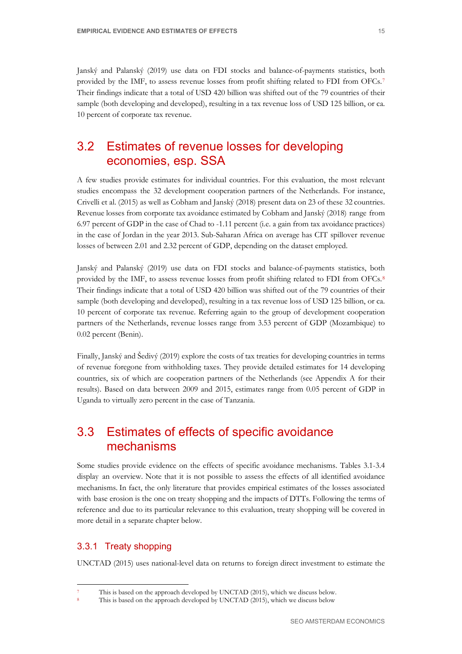Janský and Palanský (2019) use data on FDI stocks and balance-of-payments statistics, both provided by the IMF, to assess revenue losses from profit shifting related to FDI from OFCs.[7](#page-20-2) Their findings indicate that a total of USD 420 billion was shifted out of the 79 countries of their sample (both developing and developed), resulting in a tax revenue loss of USD 125 billion, or ca. 10 percent of corporate tax revenue.

## <span id="page-20-0"></span>3.2 Estimates of revenue losses for developing economies, esp. SSA

A few studies provide estimates for individual countries. For this evaluation, the most relevant studies encompass the 32 development cooperation partners of the Netherlands. For instance, Crivelli et al. (2015) as well as Cobham and Janský (2018) present data on 23 of these 32 countries. Revenue losses from corporate tax avoidance estimated by Cobham and Janský (2018) range from 6.97 percent of GDP in the case of Chad to -1.11 percent (i.e. a gain from tax avoidance practices) in the case of Jordan in the year 2013. Sub-Saharan Africa on average has CIT spillover revenue losses of between 2.01 and 2.32 percent of GDP, depending on the dataset employed.

Janský and Palanský (2019) use data on FDI stocks and balance-of-payments statistics, both provided by the IMF, to assess revenue losses from profit shifting related to FDI from OFCs.<sup>[8](#page-20-3)</sup> Their findings indicate that a total of USD 420 billion was shifted out of the 79 countries of their sample (both developing and developed), resulting in a tax revenue loss of USD 125 billion, or ca. 10 percent of corporate tax revenue. Referring again to the group of development cooperation partners of the Netherlands, revenue losses range from 3.53 percent of GDP (Mozambique) to 0.02 percent (Benin).

Finally, Janský and Šedivý (2019) explore the costs of tax treaties for developing countries in terms of revenue foregone from withholding taxes. They provide detailed estimates for 14 developing countries, six of which are cooperation partners of the Netherlands (see Appendix A for their results). Based on data between 2009 and 2015, estimates range from 0.05 percent of GDP in Uganda to virtually zero percent in the case of Tanzania.

## <span id="page-20-1"></span>3.3 Estimates of effects of specific avoidance mechanisms

Some studies provide evidence on the effects of specific avoidance mechanisms. [Tables](#page-15-0) 3.1[-3.4](#page-18-1) display an overview. Note that it is not possible to assess the effects of all identified avoidance mechanisms. In fact, the only literature that provides empirical estimates of the losses associated with base erosion is the one on treaty shopping and the impacts of DTTs. Following the terms of reference and due to its particular relevance to this evaluation, treaty shopping will be covered in more detail in a separate chapter below.

### 3.3.1 Treaty shopping

UNCTAD (2015) uses national-level data on returns to foreign direct investment to estimate the

This is based on the approach developed by UNCTAD (2015), which we discuss below.

<span id="page-20-3"></span><span id="page-20-2"></span>This is based on the approach developed by UNCTAD (2015), which we discuss below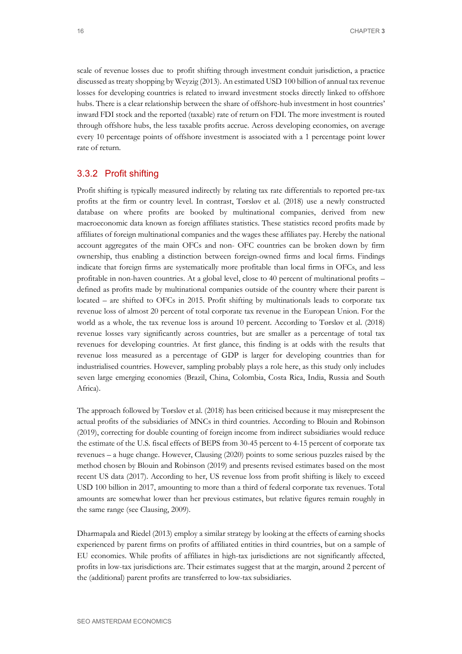scale of revenue losses due to profit shifting through investment conduit jurisdiction, a practice discussed as treaty shopping by Weyzig (2013). An estimated USD 100 billion of annual tax revenue losses for developing countries is related to inward investment stocks directly linked to offshore hubs. There is a clear relationship between the share of offshore-hub investment in host countries' inward FDI stock and the reported (taxable) rate of return on FDI. The more investment is routed through offshore hubs, the less taxable profits accrue. Across developing economies, on average every 10 percentage points of offshore investment is associated with a 1 percentage point lower rate of return.

### 3.3.2 Profit shifting

Profit shifting is typically measured indirectly by relating tax rate differentials to reported pre-tax profits at the firm or country level. In contrast, Tørsløv et al. (2018) use a newly constructed database on where profits are booked by multinational companies, derived from new macroeconomic data known as foreign affiliates statistics. These statistics record profits made by affiliates of foreign multinational companies and the wages these affiliates pay. Hereby the national account aggregates of the main OFCs and non- OFC countries can be broken down by firm ownership, thus enabling a distinction between foreign-owned firms and local firms. Findings indicate that foreign firms are systematically more profitable than local firms in OFCs, and less profitable in non-haven countries. At a global level, close to 40 percent of multinational profits – defined as profits made by multinational companies outside of the country where their parent is located – are shifted to OFCs in 2015. Profit shifting by multinationals leads to corporate tax revenue loss of almost 20 percent of total corporate tax revenue in the European Union. For the world as a whole, the tax revenue loss is around 10 percent. According to Tørsløv et al. (2018) revenue losses vary significantly across countries, but are smaller as a percentage of total tax revenues for developing countries. At first glance, this finding is at odds with the results that revenue loss measured as a percentage of GDP is larger for developing countries than for industrialised countries. However, sampling probably plays a role here, as this study only includes seven large emerging economies (Brazil, China, Colombia, Costa Rica, India, Russia and South Africa).

The approach followed by Tørsløv et al. (2018) has been criticised because it may misrepresent the actual profits of the subsidiaries of MNCs in third countries. According to Blouin and Robinson (2019), correcting for double counting of foreign income from indirect subsidiaries would reduce the estimate of the U.S. fiscal effects of BEPS from 30-45 percent to 4-15 percent of corporate tax revenues – a huge change. However, Clausing (2020) points to some serious puzzles raised by the method chosen by Blouin and Robinson (2019) and presents revised estimates based on the most recent US data (2017). According to her, US revenue loss from profit shifting is likely to exceed USD 100 billion in 2017, amounting to more than a third of federal corporate tax revenues. Total amounts are somewhat lower than her previous estimates, but relative figures remain roughly in the same range (see Clausing, 2009).

Dharmapala and Riedel (2013) employ a similar strategy by looking at the effects of earning shocks experienced by parent firms on profits of affiliated entities in third countries, but on a sample of EU economies. While profits of affiliates in high-tax jurisdictions are not significantly affected, profits in low-tax jurisdictions are. Their estimates suggest that at the margin, around 2 percent of the (additional) parent profits are transferred to low-tax subsidiaries.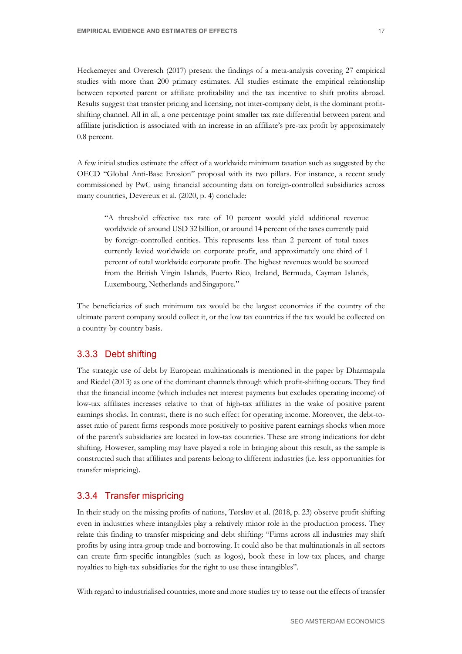Heckemeyer and Overesch (2017) present the findings of a meta-analysis covering 27 empirical studies with more than 200 primary estimates. All studies estimate the empirical relationship between reported parent or affiliate profitability and the tax incentive to shift profits abroad. Results suggest that transfer pricing and licensing, not inter-company debt, is the dominant profitshifting channel. All in all, a one percentage point smaller tax rate differential between parent and affiliate jurisdiction is associated with an increase in an affiliate's pre-tax profit by approximately 0.8 percent.

A few initial studies estimate the effect of a worldwide minimum taxation such as suggested by the OECD "Global Anti-Base Erosion" proposal with its two pillars. For instance, a recent study commissioned by PwC using financial accounting data on foreign-controlled subsidiaries across many countries, Devereux et al. (2020, p. 4) conclude:

"A threshold effective tax rate of 10 percent would yield additional revenue worldwide of around USD 32 billion, or around 14 percent of the taxes currently paid by foreign-controlled entities. This represents less than 2 percent of total taxes currently levied worldwide on corporate profit, and approximately one third of 1 percent of total worldwide corporate profit. The highest revenues would be sourced from the British Virgin Islands, Puerto Rico, Ireland, Bermuda, Cayman Islands, Luxembourg, Netherlands and Singapore."

The beneficiaries of such minimum tax would be the largest economies if the country of the ultimate parent company would collect it, or the low tax countries if the tax would be collected on a country-by-country basis.

### 3.3.3 Debt shifting

The strategic use of debt by European multinationals is mentioned in the paper by Dharmapala and Riedel (2013) as one of the dominant channels through which profit-shifting occurs. They find that the financial income (which includes net interest payments but excludes operating income) of low-tax affiliates increases relative to that of high-tax affiliates in the wake of positive parent earnings shocks. In contrast, there is no such effect for operating income. Moreover, the debt-toasset ratio of parent firms responds more positively to positive parent earnings shocks when more of the parent's subsidiaries are located in low-tax countries. These are strong indications for debt shifting. However, sampling may have played a role in bringing about this result, as the sample is constructed such that affiliates and parents belong to different industries (i.e. less opportunities for transfer mispricing).

### 3.3.4 Transfer mispricing

In their study on the missing profits of nations, Tørsløv et al. (2018, p. 23) observe profit-shifting even in industries where intangibles play a relatively minor role in the production process. They relate this finding to transfer mispricing and debt shifting: "Firms across all industries may shift profits by using intra-group trade and borrowing. It could also be that multinationals in all sectors can create firm-specific intangibles (such as logos), book these in low-tax places, and charge royalties to high-tax subsidiaries for the right to use these intangibles".

With regard to industrialised countries, more and more studies try to tease out the effects of transfer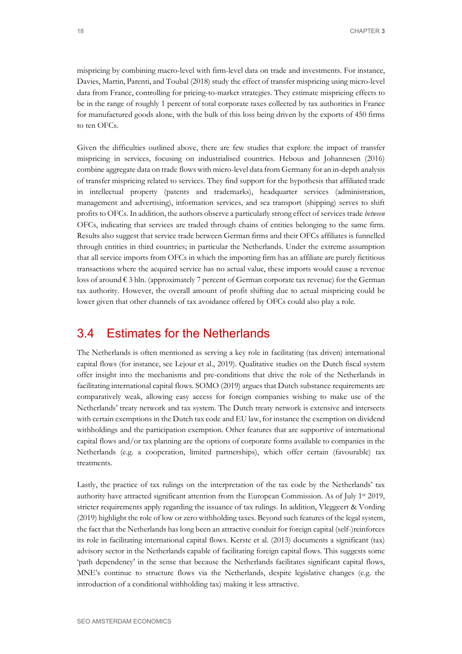mispricing by combining macro-level with firm-level data on trade and investments. For instance, Davies, Martin, Parenti, and Toubal (2018) study the effect of transfer mispricing using micro-level data from France, controlling for pricing-to-market strategies. They estimate mispricing effects to be in the range of roughly 1 percent of total corporate taxes collected by tax authorities in France for manufactured goods alone, with the bulk of this loss being driven by the exports of 450 firms to ten OFCs.

Given the difficulties outlined above, there are few studies that explore the impact of transfer mispricing in services, focusing on industrialised countries. Hebous and Johannesen (2016) combine aggregate data on trade flows with micro-level data from Germany for an in-depth analysis of transfer mispricing related to services. They find support for the hypothesis that affiliated trade in intellectual property (patents and trademarks), headquarter services (administration, management and advertising), information services, and sea transport (shipping) serves to shift profits to OFCs. In addition, the authors observe a particularly strong effect of services trade *between* OFCs, indicating that services are traded through chains of entities belonging to the same firm. Results also suggest that service trade between German firms and their OFCs affiliates is funnelled through entities in third countries; in particular the Netherlands. Under the extreme assumption that all service imports from OFCs in which the importing firm has an affiliate are purely fictitious transactions where the acquired service has no actual value, these imports would cause a revenue loss of around € 3 bln. (approximately 7 percent of German corporate tax revenue) for the German tax authority. However, the overall amount of profit shifting due to actual mispricing could be lower given that other channels of tax avoidance offered by OFCs could also play a role.

## <span id="page-23-0"></span>3.4 Estimates for the Netherlands

The Netherlands is often mentioned as serving a key role in facilitating (tax driven) international capital flows (for instance, see Lejour et al., 2019). Qualitative studies on the Dutch fiscal system offer insight into the mechanisms and pre-conditions that drive the role of the Netherlands in facilitating international capital flows. SOMO (2019) argues that Dutch substance requirements are comparatively weak, allowing easy access for foreign companies wishing to make use of the Netherlands' treaty network and tax system. The Dutch treaty network is extensive and intersects with certain exemptions in the Dutch tax code and EU law, for instance the exemption on dividend withholdings and the participation exemption. Other features that are supportive of international capital flows and/or tax planning are the options of corporate forms available to companies in the Netherlands (e.g. a cooperation, limited partnerships), which offer certain (favourable) tax treatments.

Lastly, the practice of tax rulings on the interpretation of the tax code by the Netherlands' tax authority have attracted significant attention from the European Commission. As of July 1st 2019, stricter requirements apply regarding the issuance of tax rulings. In addition, Vleggeert & Vording (2019) highlight the role of low or zero withholding taxes. Beyond such features of the legal system, the fact that the Netherlands has long been an attractive conduit for foreign capital (self-)reinforces its role in facilitating international capital flows. Kerste et al. (2013) documents a significant (tax) advisory sector in the Netherlands capable of facilitating foreign capital flows. This suggests some 'path dependency' in the sense that because the Netherlands facilitates significant capital flows, MNE's continue to structure flows via the Netherlands, despite legislative changes (e.g. the introduction of a conditional withholding tax) making it less attractive.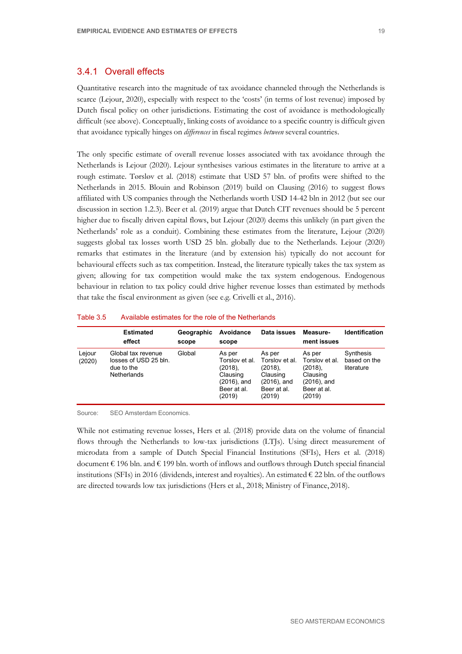### 3.4.1 Overall effects

Quantitative research into the magnitude of tax avoidance channeled through the Netherlands is scarce (Lejour, 2020), especially with respect to the 'costs' (in terms of lost revenue) imposed by Dutch fiscal policy on other jurisdictions. Estimating the cost of avoidance is methodologically difficult (see above). Conceptually, linking costs of avoidance to a specific country is difficult given that avoidance typically hinges on *differences* in fiscal regimes *between* several countries.

The only specific estimate of overall revenue losses associated with tax avoidance through the Netherlands is Lejour (2020). Lejour synthesises various estimates in the literature to arrive at a rough estimate. Tørsløv et al. (2018) estimate that USD 57 bln. of profits were shifted to the Netherlands in 2015. Blouin and Robinson (2019) build on Clausing (2016) to suggest flows affiliated with US companies through the Netherlands worth USD 14-42 bln in 2012 (but see our discussion in section 1.2.3). Beer et al. (2019) argue that Dutch CIT revenues should be 5 percent higher due to fiscally driven capital flows, but Lejour (2020) deems this unlikely (in part given the Netherlands' role as a conduit). Combining these estimates from the literature, Lejour (2020) suggests global tax losses worth USD 25 bln. globally due to the Netherlands. Lejour (2020) remarks that estimates in the literature (and by extension his) typically do not account for behavioural effects such as tax competition. Instead, the literature typically takes the tax system as given; allowing for tax competition would make the tax system endogenous. Endogenous behaviour in relation to tax policy could drive higher revenue losses than estimated by methods that take the fiscal environment as given (see e.g. Crivelli et al., 2016).

|                  | <b>Estimated</b><br>effect                                                      | Geographic<br>scope | Avoidance<br>scope                                                                            | Data issues                                                                                   | Measure-<br>ment issues                                                                       | <b>Identification</b>                   |
|------------------|---------------------------------------------------------------------------------|---------------------|-----------------------------------------------------------------------------------------------|-----------------------------------------------------------------------------------------------|-----------------------------------------------------------------------------------------------|-----------------------------------------|
| Lejour<br>(2020) | Global tax revenue<br>losses of USD 25 bln.<br>due to the<br><b>Netherlands</b> | Global              | As per<br>Torslov et al.<br>$(2018)$ ,<br>Clausing<br>$(2016)$ , and<br>Beer at al.<br>(2019) | As per<br>Torslov et al.<br>$(2018)$ ,<br>Clausing<br>$(2016)$ , and<br>Beer at al.<br>(2019) | As per<br>Torslov et al.<br>$(2018)$ ,<br>Clausing<br>$(2016)$ , and<br>Beer at al.<br>(2019) | Synthesis<br>based on the<br>literature |

#### Table 3.5 Available estimates for the role of the Netherlands

Source: SEO Amsterdam Economics.

While not estimating revenue losses, Hers et al. (2018) provide data on the volume of financial flows through the Netherlands to low-tax jurisdictions (LTJs). Using direct measurement of microdata from a sample of Dutch Special Financial Institutions (SFIs), Hers et al. (2018) document  $\epsilon$  196 bln. and  $\epsilon$  199 bln. worth of inflows and outflows through Dutch special financial institutions (SFIs) in 2016 (dividends, interest and royalties). An estimated  $\epsilon$  22 bln. of the outflows are directed towards low tax jurisdictions (Hers et al., 2018; Ministry of Finance, 2018).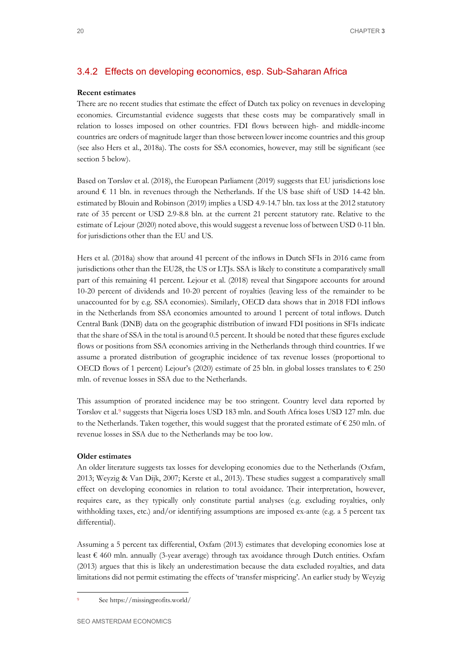### 3.4.2 Effects on developing economics, esp. Sub-Saharan Africa

#### **Recent estimates**

There are no recent studies that estimate the effect of Dutch tax policy on revenues in developing economies. Circumstantial evidence suggests that these costs may be comparatively small in relation to losses imposed on other countries. FDI flows between high- and middle-income countries are orders of magnitude larger than those between lower income countries and this group (see also Hers et al., 2018a). The costs for SSA economies, however, may still be significant (see section [5](#page-30-0) below).

Based on Tørsløv et al. (2018), the European Parliament (2019) suggests that EU jurisdictions lose around  $\epsilon$  11 bln. in revenues through the Netherlands. If the US base shift of USD 14-42 bln. estimated by Blouin and Robinson (2019) implies a USD 4.9-14.7 bln. tax loss at the 2012 statutory rate of 35 percent or USD 2.9-8.8 bln. at the current 21 percent statutory rate. Relative to the estimate of Lejour (2020) noted above, this would suggest a revenue loss of between USD 0-11 bln. for jurisdictions other than the EU and US.

Hers et al. (2018a) show that around 41 percent of the inflows in Dutch SFIs in 2016 came from jurisdictions other than the EU28, the US or LTJs. SSA is likely to constitute a comparatively small part of this remaining 41 percent. Lejour et al. (2018) reveal that Singapore accounts for around 10-20 percent of dividends and 10-20 percent of royalties (leaving less of the remainder to be unaccounted for by e.g. SSA economies). Similarly, OECD data shows that in 2018 FDI inflows in the Netherlands from SSA economies amounted to around 1 percent of total inflows. Dutch Central Bank (DNB) data on the geographic distribution of inward FDI positions in SFIs indicate that the share of SSA in the total is around 0.5 percent. It should be noted that these figures exclude flows or positions from SSA economies arriving in the Netherlands through third countries. If we assume a prorated distribution of geographic incidence of tax revenue losses (proportional to OECD flows of 1 percent) Lejour's (2020) estimate of 25 bln. in global losses translates to  $\epsilon$  250 mln. of revenue losses in SSA due to the Netherlands.

This assumption of prorated incidence may be too stringent. Country level data reported by Tørsløv et al.[9](#page-25-0) suggests that Nigeria loses USD 183 mln. and South Africa loses USD 127 mln. due to the Netherlands. Taken together, this would suggest that the prorated estimate of  $\epsilon$  250 mln. of revenue losses in SSA due to the Netherlands may be too low.

#### **Older estimates**

An older literature suggests tax losses for developing economies due to the Netherlands (Oxfam, 2013; Weyzig & Van Dijk, 2007; Kerste et al., 2013). These studies suggest a comparatively small effect on developing economies in relation to total avoidance. Their interpretation, however, requires care, as they typically only constitute partial analyses (e.g. excluding royalties, only withholding taxes, etc.) and/or identifying assumptions are imposed ex-ante (e.g. a 5 percent tax differential).

Assuming a 5 percent tax differential, Oxfam (2013) estimates that developing economies lose at least  $\epsilon$  460 mln. annually (3-year average) through tax avoidance through Dutch entities. Oxfam (2013) argues that this is likely an underestimation because the data excluded royalties, and data limitations did not permit estimating the effects of 'transfer mispricing'. An earlier study by Weyzig

<span id="page-25-0"></span>See https://missingprofits.world/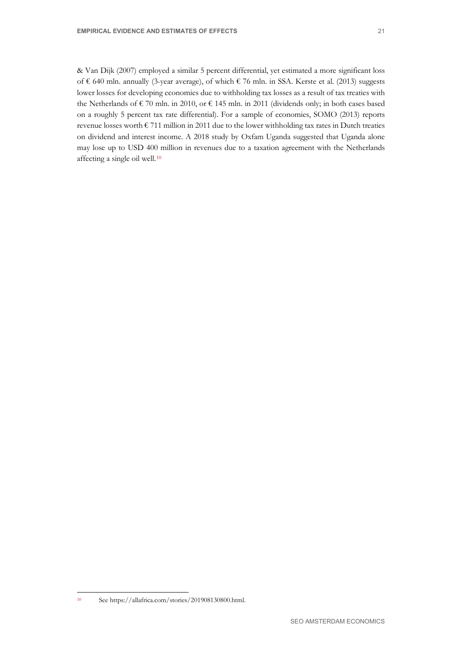& Van Dijk (2007) employed a similar 5 percent differential, yet estimated a more significant loss of € 640 mln. annually (3-year average), of which € 76 mln. in SSA. Kerste et al. (2013) suggests lower losses for developing economies due to withholding tax losses as a result of tax treaties with the Netherlands of € 70 mln. in 2010, or € 145 mln. in 2011 (dividends only; in both cases based on a roughly 5 percent tax rate differential). For a sample of economies, SOMO (2013) reports revenue losses worth  $\epsilon$  711 million in 2011 due to the lower withholding tax rates in Dutch treaties on dividend and interest income. A 2018 study by Oxfam Uganda suggested that Uganda alone may lose up to USD 400 million in revenues due to a taxation agreement with the Netherlands affecting a single oil well.[10](#page-26-0)

<span id="page-26-0"></span> $^{10}$  See https://allafrica.com/stories/201908130800.html.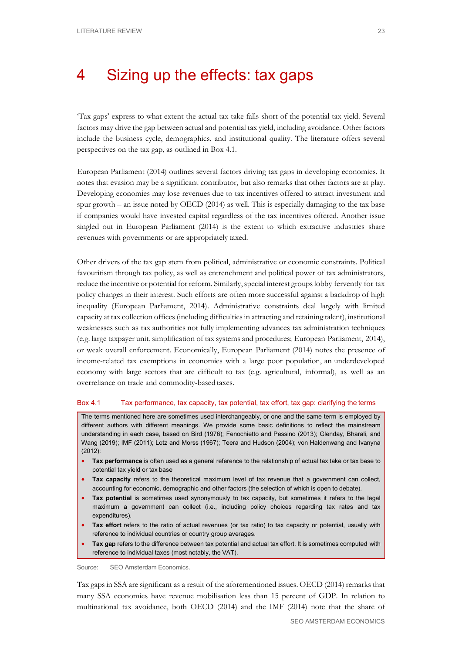## <span id="page-28-0"></span>4 Sizing up the effects: tax gaps

'Tax gaps' express to what extent the actual tax take falls short of the potential tax yield. Several factors may drive the gap between actual and potential tax yield, including avoidance. Other factors include the business cycle, demographics, and institutional quality. The literature offers several perspectives on the tax gap, as outlined in [Box 4.1.](#page-28-1)

European Parliament (2014) outlines several factors driving tax gaps in developing economies. It notes that evasion may be a significant contributor, but also remarks that other factors are at play. Developing economies may lose revenues due to tax incentives offered to attract investment and spur growth – an issue noted by OECD (2014) as well. This is especially damaging to the tax base if companies would have invested capital regardless of the tax incentives offered. Another issue singled out in European Parliament (2014) is the extent to which extractive industries share revenues with governments or are appropriately taxed.

Other drivers of the tax gap stem from political, administrative or economic constraints. Political favouritism through tax policy, as well as entrenchment and political power of tax administrators, reduce the incentive or potential for reform. Similarly, special interest groups lobby fervently for tax policy changes in their interest. Such efforts are often more successful against a backdrop of high inequality (European Parliament, 2014). Administrative constraints deal largely with limited capacity at tax collection offices (including difficulties in attracting and retaining talent), institutional weaknesses such as tax authorities not fully implementing advances tax administration techniques (e.g. large taxpayer unit, simplification of tax systems and procedures; European Parliament, 2014), or weak overall enforcement. Economically, European Parliament (2014) notes the presence of income-related tax exemptions in economies with a large poor population, an underdeveloped economy with large sectors that are difficult to tax (e.g. agricultural, informal), as well as an overreliance on trade and commodity-based taxes.

#### <span id="page-28-1"></span>Box 4.1 Tax performance, tax capacity, tax potential, tax effort, tax gap: clarifying the terms

The terms mentioned here are sometimes used interchangeably, or one and the same term is employed by different authors with different meanings. We provide some basic definitions to reflect the mainstream understanding in each case, based on Bird (1976); Fenochietto and Pessino (2013); Glenday, Bharali, and Wang (2019); IMF (2011); Lotz and Morss (1967); Teera and Hudson (2004); von Haldenwang and Ivanyna (2012):

- **Tax performance** is often used as a general reference to the relationship of actual tax take or tax base to potential tax yield or tax base
- **Tax capacity** refers to the theoretical maximum level of tax revenue that a government can collect, accounting for economic, demographic and other factors (the selection of which is open to debate).
- **Tax potential** is sometimes used synonymously to tax capacity, but sometimes it refers to the legal maximum a government can collect (i.e., including policy choices regarding tax rates and tax expenditures).
- **Tax effort** refers to the ratio of actual revenues (or tax ratio) to tax capacity or potential, usually with reference to individual countries or country group averages.
- **Tax gap** refers to the difference between tax potential and actual tax effort. It is sometimes computed with reference to individual taxes (most notably, the VAT).

Source: SEO Amsterdam Economics.

Tax gaps in SSA are significant as a result of the aforementioned issues. OECD (2014) remarks that many SSA economies have revenue mobilisation less than 15 percent of GDP. In relation to multinational tax avoidance, both OECD (2014) and the IMF (2014) note that the share of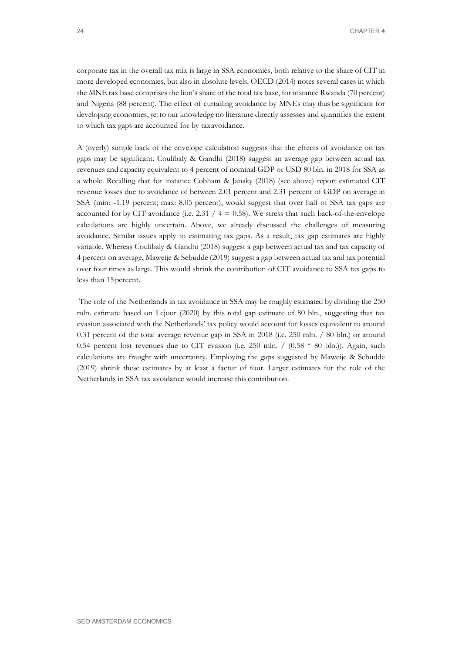corporate tax in the overall tax mix is large in SSA economies, both relative to the share of CIT in more developed economies, but also in absolute levels. OECD (2014) notes several cases in which the MNE tax base comprises the lion's share of the total tax base, for instance Rwanda (70 percent) and Nigeria (88 percent). The effect of curtailing avoidance by MNEs may thus be significant for developing economies, yet to our knowledge no literature directly assesses and quantifies the extent to which tax gaps are accounted for by taxavoidance.

A (overly) simple back of the envelope calculation suggests that the effects of avoidance on tax gaps may be significant. Coulibaly & Gandhi (2018) suggest an average gap between actual tax revenues and capacity equivalent to 4 percent of nominal GDP or USD 80 bln. in 2018 for SSA as a whole. Recalling that for instance Cobham & Jansky (2018) (see above) report estimated CIT revenue losses due to avoidance of between 2.01 percent and 2.31 percent of GDP on average in SSA (min: -1.19 percent; max: 8.05 percent), would suggest that over half of SSA tax gaps are accounted for by CIT avoidance (i.e. 2.31 /  $4 = 0.58$ ). We stress that such back-of-the-envelope calculations are highly uncertain. Above, we already discussed the challenges of measuring avoidance. Similar issues apply to estimating tax gaps. As a result, tax gap estimates are highly variable. Whereas Coulibaly & Gandhi (2018) suggest a gap between actual tax and tax capacity of 4 percent on average, Maweije & Sebudde (2019) suggest a gap between actual tax and tax potential over four times as large. This would shrink the contribution of CIT avoidance to SSA tax gaps to less than 15percent.

The role of the Netherlands in tax avoidance in SSA may be roughly estimated by dividing the 250 mln. estimate based on Lejour (2020) by this total gap estimate of 80 bln., suggesting that tax evasion associated with the Netherlands' tax policy would account for losses equivalent to around 0.31 percent of the total average revenue gap in SSA in 2018 (i.e. 250 mln. / 80 bln.) or around 0.54 percent lost revenues due to CIT evasion (i.e. 250 mln. /  $(0.58 * 80$  bln.)). Again, such calculations are fraught with uncertainty. Employing the gaps suggested by Maweije & Sebudde (2019) shrink these estimates by at least a factor of four. Larger estimates for the role of the Netherlands in SSA tax avoidance would increase this contribution.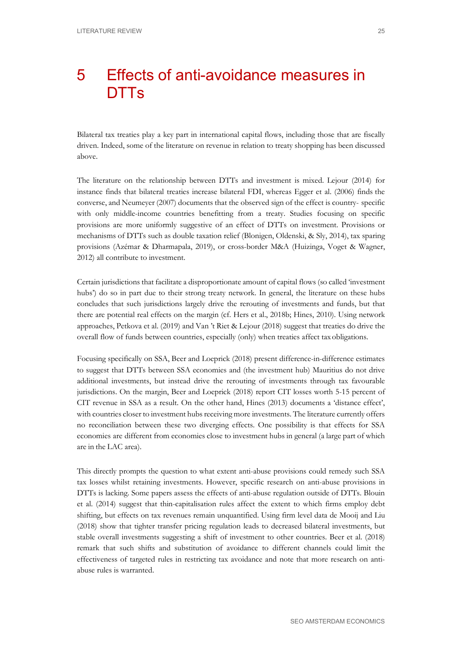# <span id="page-30-0"></span>5 Effects of anti-avoidance measures in **DTTs**

Bilateral tax treaties play a key part in international capital flows, including those that are fiscally driven. Indeed, some of the literature on revenue in relation to treaty shopping has been discussed above.

The literature on the relationship between DTTs and investment is mixed. Lejour (2014) for instance finds that bilateral treaties increase bilateral FDI, whereas Egger et al. (2006) finds the converse, and Neumeyer (2007) documents that the observed sign of the effect is country- specific with only middle-income countries benefitting from a treaty. Studies focusing on specific provisions are more uniformly suggestive of an effect of DTTs on investment. Provisions or mechanisms of DTTs such as double taxation relief (Blonigen, Oldenski, & Sly, 2014), tax sparing provisions (Azémar & Dharmapala, 2019), or cross-border M&A (Huizinga, Voget & Wagner, 2012) all contribute to investment.

Certain jurisdictions that facilitate a disproportionate amount of capital flows (so called 'investment hubs') do so in part due to their strong treaty network. In general, the literature on these hubs concludes that such jurisdictions largely drive the rerouting of investments and funds, but that there are potential real effects on the margin (cf. Hers et al., 2018b; Hines, 2010). Using network approaches, Petkova et al. (2019) and Van 't Riet & Lejour (2018) suggest that treaties do drive the overall flow of funds between countries, especially (only) when treaties affect taxobligations.

Focusing specifically on SSA, Beer and Loeprick (2018) present difference-in-difference estimates to suggest that DTTs between SSA economies and (the investment hub) Mauritius do not drive additional investments, but instead drive the rerouting of investments through tax favourable jurisdictions. On the margin, Beer and Loeprick (2018) report CIT losses worth 5-15 percent of CIT revenue in SSA as a result. On the other hand, Hines (2013) documents a 'distance effect', with countries closer to investment hubs receiving more investments. The literature currently offers no reconciliation between these two diverging effects. One possibility is that effects for SSA economies are different from economies close to investment hubs in general (a large part of which are in the LAC area).

This directly prompts the question to what extent anti-abuse provisions could remedy such SSA tax losses whilst retaining investments. However, specific research on anti-abuse provisions in DTTs is lacking. Some papers assess the effects of anti-abuse regulation outside of DTTs. Blouin et al. (2014) suggest that thin-capitalisation rules affect the extent to which firms employ debt shifting, but effects on tax revenues remain unquantified. Using firm level data de Mooij and Liu (2018) show that tighter transfer pricing regulation leads to decreased bilateral investments, but stable overall investments suggesting a shift of investment to other countries. Beer et al. (2018) remark that such shifts and substitution of avoidance to different channels could limit the effectiveness of targeted rules in restricting tax avoidance and note that more research on antiabuse rules is warranted.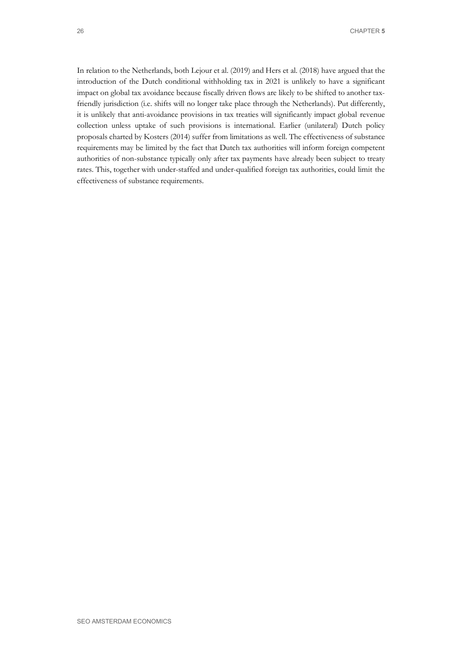In relation to the Netherlands, both Lejour et al. (2019) and Hers et al. (2018) have argued that the introduction of the Dutch conditional withholding tax in 2021 is unlikely to have a significant impact on global tax avoidance because fiscally driven flows are likely to be shifted to another taxfriendly jurisdiction (i.e. shifts will no longer take place through the Netherlands). Put differently, it is unlikely that anti-avoidance provisions in tax treaties will significantly impact global revenue collection unless uptake of such provisions is international. Earlier (unilateral) Dutch policy proposals charted by Kosters (2014) suffer from limitations as well. The effectiveness of substance requirements may be limited by the fact that Dutch tax authorities will inform foreign competent authorities of non-substance typically only after tax payments have already been subject to treaty rates. This, together with under-staffed and under-qualified foreign tax authorities, could limit the effectiveness of substance requirements.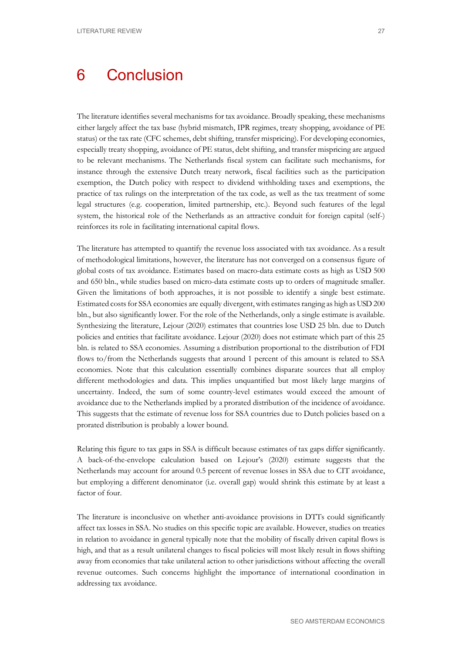# <span id="page-32-0"></span>6 Conclusion

The literature identifies several mechanisms for tax avoidance. Broadly speaking, these mechanisms either largely affect the tax base (hybrid mismatch, IPR regimes, treaty shopping, avoidance of PE status) or the tax rate (CFC schemes, debt shifting, transfer mispricing). For developing economies, especially treaty shopping, avoidance of PE status, debt shifting, and transfer mispricing are argued to be relevant mechanisms. The Netherlands fiscal system can facilitate such mechanisms, for instance through the extensive Dutch treaty network, fiscal facilities such as the participation exemption, the Dutch policy with respect to dividend withholding taxes and exemptions, the practice of tax rulings on the interpretation of the tax code, as well as the tax treatment of some legal structures (e.g. cooperation, limited partnership, etc.). Beyond such features of the legal system, the historical role of the Netherlands as an attractive conduit for foreign capital (self-) reinforces its role in facilitating international capital flows.

The literature has attempted to quantify the revenue loss associated with tax avoidance. As a result of methodological limitations, however, the literature has not converged on a consensus figure of global costs of tax avoidance. Estimates based on macro-data estimate costs as high as USD 500 and 650 bln., while studies based on micro-data estimate costs up to orders of magnitude smaller. Given the limitations of both approaches, it is not possible to identify a single best estimate. Estimated costs for SSA economies are equally divergent, with estimates ranging as high as USD 200 bln., but also significantly lower. For the role of the Netherlands, only a single estimate is available. Synthesizing the literature, Lejour (2020) estimates that countries lose USD 25 bln. due to Dutch policies and entities that facilitate avoidance. Lejour (2020) does not estimate which part of this 25 bln. is related to SSA economies. Assuming a distribution proportional to the distribution of FDI flows to/from the Netherlands suggests that around 1 percent of this amount is related to SSA economies. Note that this calculation essentially combines disparate sources that all employ different methodologies and data. This implies unquantified but most likely large margins of uncertainty. Indeed, the sum of some country-level estimates would exceed the amount of avoidance due to the Netherlands implied by a prorated distribution of the incidence of avoidance. This suggests that the estimate of revenue loss for SSA countries due to Dutch policies based on a prorated distribution is probably a lower bound.

Relating this figure to tax gaps in SSA is difficult because estimates of tax gaps differ significantly. A back-of-the-envelope calculation based on Lejour's (2020) estimate suggests that the Netherlands may account for around 0.5 percent of revenue losses in SSA due to CIT avoidance, but employing a different denominator (i.e. overall gap) would shrink this estimate by at least a factor of four.

The literature is inconclusive on whether anti-avoidance provisions in DTTs could significantly affect tax losses in SSA. No studies on this specific topic are available. However, studies on treaties in relation to avoidance in general typically note that the mobility of fiscally driven capital flows is high, and that as a result unilateral changes to fiscal policies will most likely result in flows shifting away from economies that take unilateral action to other jurisdictions without affecting the overall revenue outcomes. Such concerns highlight the importance of international coordination in addressing tax avoidance.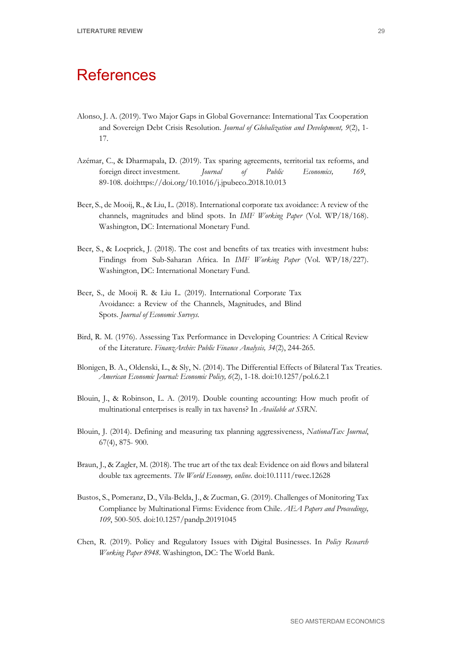## <span id="page-34-0"></span>**References**

- Alonso, J. A. (2019). Two Major Gaps in Global Governance: International Tax Cooperation and Sovereign Debt Crisis Resolution. *Journal of Globalization and Development, 9*(2), 1- 17.
- Azémar, C., & Dharmapala, D. (2019). Tax sparing agreements, territorial tax reforms, and foreign direct investment. *Journal of Public Economics, 169*, 89-108. doi:https://doi.org/10.1016/j.jpubeco.2018.10.013
- Beer, S., de Mooij, R., & Liu, L. (2018). International corporate tax avoidance: A review of the channels, magnitudes and blind spots. In *IMF Working Paper* (Vol. WP/18/168). Washington, DC: International Monetary Fund.
- Beer, S., & Loeprick, J. (2018). The cost and benefits of tax treaties with investment hubs: Findings from Sub-Saharan Africa. In *IMF Working Paper* (Vol. WP/18/227). Washington, DC: International Monetary Fund.
- Beer, S., de Mooij R. & Liu L. (2019). International Corporate Tax Avoidance: a Review of the Channels, Magnitudes, and Blind Spots. *Journal of Economic Surveys.*
- Bird, R. M. (1976). Assessing Tax Performance in Developing Countries: A Critical Review of the Literature. *FinanzArchiv: Public Finance Analysis, 34*(2), 244-265.
- Blonigen, B. A., Oldenski, L., & Sly, N. (2014). The Differential Effects of Bilateral Tax Treaties. *American Economic Journal: Economic Policy, 6*(2), 1-18. doi:10.1257/pol.6.2.1
- Blouin, J., & Robinson, L. A. (2019). Double counting accounting: How much profit of multinational enterprises is really in tax havens? In *Available at SSRN*.
- Blouin, J. (2014). Defining and measuring tax planning aggressiveness, *NationalTax Journal*, 67(4), 875- 900.
- Braun, J., & Zagler, M. (2018). The true art of the tax deal: Evidence on aid flows and bilateral double tax agreements. *The World Economy, online*. doi:10.1111/twec.12628
- Bustos, S., Pomeranz, D., Vila-Belda, J., & Zucman, G. (2019). Challenges of Monitoring Tax Compliance by Multinational Firms: Evidence from Chile. *AEA Papers and Proceedings, 109*, 500-505. doi:10.1257/pandp.20191045
- Chen, R. (2019). Policy and Regulatory Issues with Digital Businesses. In *Policy Research Working Paper 8948*. Washington, DC: The World Bank.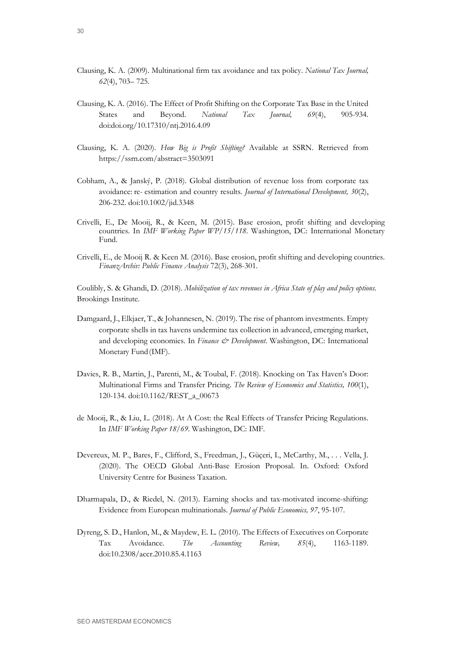- Clausing, K. A. (2009). Multinational firm tax avoidance and tax policy. *National Tax Journal, 62*(4), 703– 725.
- Clausing, K. A. (2016). The Effect of Profit Shifting on the Corporate Tax Base in the United States and Beyond. *National Tax Journal, 69*(4), 905-934. doi:doi.org/10.17310/ntj.2016.4.09
- Clausing, K. A. (2020). *How Big is Profit Shifting?* Available at SSRN. Retrieved from https://ssrn.com/abstract=3503091
- Cobham, A., & Janský, P. (2018). Global distribution of revenue loss from corporate tax avoidance: re- estimation and country results. *Journal of International Development, 30*(2), 206-232. doi:10.1002/jid.3348
- Crivelli, E., De Mooij, R., & Keen, M. (2015). Base erosion, profit shifting and developing countries. In *IMF Working Paper WP/15/118*. Washington, DC: International Monetary Fund.
- Crivelli, E., de Mooij R. & Keen M. (2016). Base erosion, profit shifting and developing countries. *FinanzArchiv: Public Finance Analysis* 72(3), 268-301.

Coulibly, S. & Ghandi, D. (2018). *Mobilization of tax revenues in Africa State of play and policy options.* Brookings Institute.

- Damgaard, J., Elkjaer, T., & Johannesen, N. (2019). The rise of phantom investments. Empty corporate shells in tax havens undermine tax collection in advanced, emerging market, and developing economies. In *Finance & Development*. Washington, DC: International Monetary Fund(IMF).
- Davies, R. B., Martin, J., Parenti, M., & Toubal, F. (2018). Knocking on Tax Haven's Door: Multinational Firms and Transfer Pricing. *The Review of Economics and Statistics, 100*(1), 120-134. doi:10.1162/REST\_a\_00673
- de Mooij, R., & Liu, L. (2018). At A Cost: the Real Effects of Transfer Pricing Regulations. In *IMF Working Paper 18/69*. Washington, DC: IMF.
- Devereux, M. P., Bares, F., Clifford, S., Freedman, J., Güçeri, I., McCarthy, M., . . . Vella, J. (2020). The OECD Global Anti-Base Erosion Proposal. In. Oxford: Oxford University Centre for Business Taxation.
- Dharmapala, D., & Riedel, N. (2013). Earning shocks and tax-motivated income-shifting: Evidence from European multinationals. *Journal of Public Economics, 97*, 95-107.
- Dyreng, S. D., Hanlon, M., & Maydew, E. L. (2010). The Effects of Executives on Corporate Tax Avoidance. *The Accounting Review, 85*(4), 1163-1189. doi:10.2308/accr.2010.85.4.1163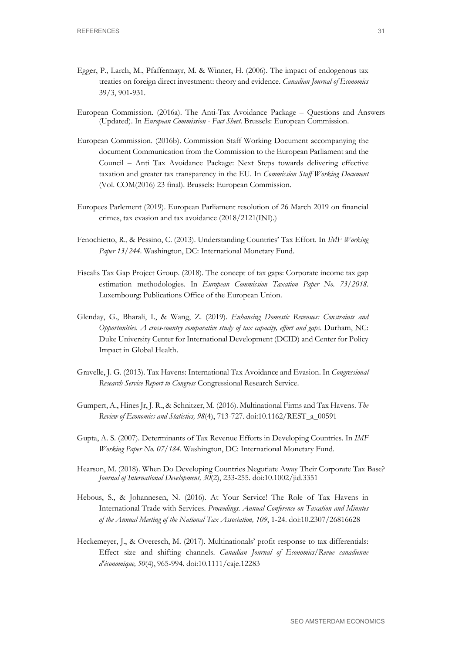- Egger, P., Larch, M., Pfaffermayr, M. & Winner, H. (2006). The impact of endogenous tax treaties on foreign direct investment: theory and evidence. *Canadian Journal of Economics*  39/3, 901-931.
- European Commission. (2016a). The Anti-Tax Avoidance Package Questions and Answers (Updated). In *European Commission - Fact Sheet*. Brussels: European Commission.
- European Commission. (2016b). Commission Staff Working Document accompanying the document Communication from the Commission to the European Parliament and the Council – Anti Tax Avoidance Package: Next Steps towards delivering effective taxation and greater tax transparency in the EU. In *Commission Staff Working Document*  (Vol. COM(2016) 23 final). Brussels: European Commission.
- Europees Parlement (2019). European Parliament resolution of 26 March 2019 on financial crimes, tax evasion and tax avoidance (2018/2121(INI).)
- Fenochietto, R., & Pessino, C. (2013). Understanding Countries' Tax Effort. In *IMF Working Paper 13/244*. Washington, DC: International Monetary Fund.
- Fiscalis Tax Gap Project Group. (2018). The concept of tax gaps: Corporate income tax gap estimation methodologies. In *European Commission Taxation Paper No. 73/2018*. Luxembourg: Publications Office of the European Union.
- Glenday, G., Bharali, I., & Wang, Z. (2019). *Enhancing Domestic Revenues: Constraints and Opportunities. A cross-country comparative study of tax capacity, effort and gaps*. Durham, NC: Duke University Center for International Development (DCID) and Center for Policy Impact in Global Health.
- Gravelle, J. G. (2013). Tax Havens: International Tax Avoidance and Evasion. In *Congressional Research Service Report to Congress* Congressional Research Service.
- Gumpert, A., Hines Jr, J. R., & Schnitzer, M. (2016). Multinational Firms and Tax Havens. *The Review of Economics and Statistics, 98*(4), 713-727. doi:10.1162/REST\_a\_00591
- Gupta, A. S. (2007). Determinants of Tax Revenue Efforts in Developing Countries. In *IMF Working Paper No. 07/184*. Washington, DC: International Monetary Fund.
- Hearson, M. (2018). When Do Developing Countries Negotiate Away Their Corporate Tax Base? *Journal of International Development, 30*(2), 233-255. doi:10.1002/jid.3351
- Hebous, S., & Johannesen, N. (2016). At Your Service! The Role of Tax Havens in International Trade with Services. *Proceedings. Annual Conference on Taxation and Minutes of the Annual Meeting of the National Tax Association, 109*, 1-24. doi:10.2307/26816628
- Heckemeyer, J., & Overesch, M. (2017). Multinationals' profit response to tax differentials: Effect size and shifting channels. *Canadian Journal of Economics/Revue canadienne d'économique, 50*(4), 965-994. doi:10.1111/caje.12283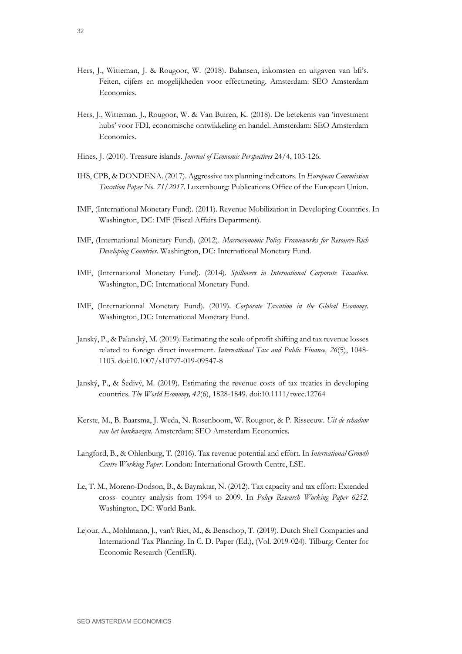- Hers, J., Witteman, J. & Rougoor, W. (2018). Balansen, inkomsten en uitgaven van bfi's. Feiten, cijfers en mogelijkheden voor effectmeting. Amsterdam: SEO Amsterdam Economics.
- Hers, J., Witteman, J., Rougoor, W. & Van Buiren, K. (2018). De betekenis van 'investment hubs' voor FDI, economische ontwikkeling en handel. Amsterdam: SEO Amsterdam Economics.
- Hines, J. (2010). Treasure islands. *Journal of Economic Perspectives* 24/4, 103-126.
- IHS, CPB, & DONDENA. (2017). Aggressive tax planning indicators. In *European Commission Taxation Paper No. 71/2017*. Luxembourg: Publications Office of the European Union.
- IMF, (International Monetary Fund). (2011). Revenue Mobilization in Developing Countries. In Washington, DC: IMF (Fiscal Affairs Department).
- IMF, (International Monetary Fund). (2012). *Macroeconomic Policy Frameworks for Resource-Rich Developing Countries*. Washington, DC: International Monetary Fund.
- IMF, (International Monetary Fund). (2014). *Spillovers in International Corporate Taxation*. Washington, DC: International Monetary Fund.
- IMF, (Internationnal Monetary Fund). (2019). *Corporate Taxation in the Global Economy*. Washington, DC: International Monetary Fund.
- Janský, P., & Palanský, M. (2019). Estimating the scale of profit shifting and tax revenue losses related to foreign direct investment. *International Tax and Public Finance, 26*(5), 1048- 1103. doi:10.1007/s10797-019-09547-8
- Janský, P., & Šedivý, M. (2019). Estimating the revenue costs of tax treaties in developing countries. *The World Economy, 42*(6), 1828-1849. doi:10.1111/twec.12764
- Kerste, M., B. Baarsma, J. Weda, N. Rosenboom, W. Rougoor, & P. Risseeuw. *Uit de schaduw van het bankwezen*. Amsterdam: SEO Amsterdam Economics.
- Langford, B., & Ohlenburg, T. (2016). Tax revenue potential and effort. In *International Growth Centre Working Paper*. London: International Growth Centre, LSE.
- Le, T. M., Moreno-Dodson, B., & Bayraktar, N. (2012). Tax capacity and tax effort: Extended cross- country analysis from 1994 to 2009. In *Policy Research Working Paper 6252*. Washington, DC: World Bank.
- Lejour, A., Mohlmann, J., van't Riet, M., & Benschop, T. (2019). Dutch Shell Companies and International Tax Planning. In C. D. Paper (Ed.), (Vol. 2019-024). Tilburg: Center for Economic Research (CentER).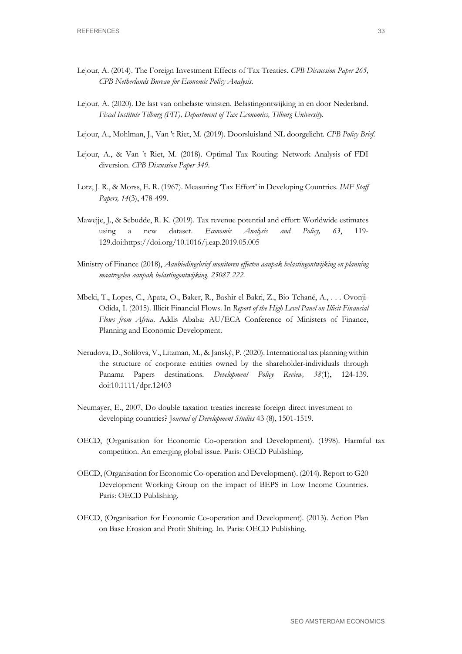- Lejour, A. (2014). The Foreign Investment Effects of Tax Treaties. *CPB Discussion Paper 265, CPB Netherlands Bureau for Economic Policy Analysis*.
- Lejour, A. (2020). De last van onbelaste winsten. Belastingontwijking in en door Nederland. *Fiscal Institute Tilburg (FIT), Department of Tax Economics, Tilburg University.*
- Lejour, A., Mohlman, J., Van 't Riet, M. (2019). Doorsluisland NL doorgelicht. *CPB Policy Brief.*
- Lejour, A., & Van 't Riet, M. (2018). Optimal Tax Routing: Network Analysis of FDI diversion. *CPB Discussion Paper 349*.
- Lotz, J. R., & Morss, E. R. (1967). Measuring 'Tax Effort' in Developing Countries. *IMF Staff Papers, 14*(3), 478-499.
- Mawejje, J., & Sebudde, R. K. (2019). Tax revenue potential and effort: Worldwide estimates using a new dataset. *Economic Analysis and Policy, 63*, 119- 129.doi:https://doi.org/10.1016/j.eap.2019.05.005
- Ministry of Finance (2018), *Aanbiedingsbrief monitoren effecten aanpak belastingontwijking en planning maatregelen aanpak belastingontwijking. 25087 222.*
- Mbeki, T., Lopes, C., Apata, O., Baker, R., Bashir el Bakri, Z., Bio Tchané, A., . . . Ovonji-Odida, I. (2015). Illicit Financial Flows. In *Report of the High Level Panel on Illicit Financial Flows from Africa*. Addis Ababa: AU/ECA Conference of Ministers of Finance, Planning and Economic Development.
- Nerudova, D., Solilova, V., Litzman, M., & Janský, P. (2020). International tax planning within the structure of corporate entities owned by the shareholder-individuals through Panama Papers destinations. *Development Policy Review, 38*(1), 124-139. doi:10.1111/dpr.12403
- Neumayer, E., 2007, Do double taxation treaties increase foreign direct investment to developing countries? J*ournal of Development Studies* 43 (8), 1501-1519.
- OECD, (Organisation for Economic Co-operation and Development). (1998). Harmful tax competition. An emerging global issue. Paris: OECD Publishing.
- OECD, (Organisation for Economic Co-operation and Development). (2014). Report to G20 Development Working Group on the impact of BEPS in Low Income Countries. Paris: OECD Publishing.
- OECD, (Organisation for Economic Co-operation and Development). (2013). Action Plan on Base Erosion and Profit Shifting. In. Paris: OECD Publishing.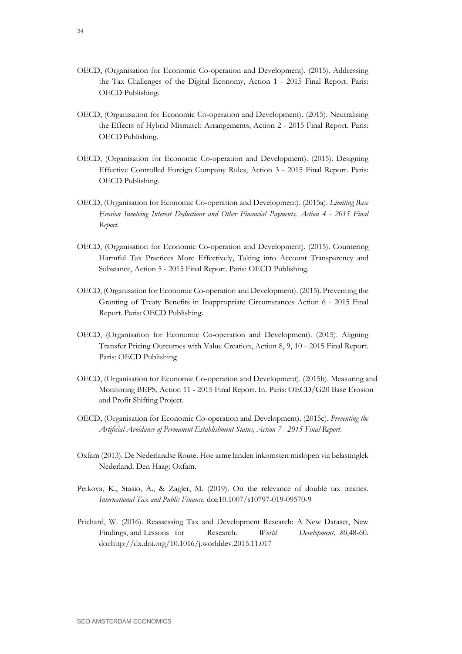- OECD, (Organisation for Economic Co-operation and Development). (2015). Addressing the Tax Challenges of the Digital Economy, Action 1 - 2015 Final Report. Paris: OECD Publishing.
- OECD, (Organisation for Economic Co-operation and Development). (2015). Neutralising the Effects of Hybrid Mismatch Arrangements, Action 2 - 2015 Final Report. Paris: OECDPublishing.
- OECD, (Organisation for Economic Co-operation and Development). (2015). Designing Effective Controlled Foreign Company Rules, Action 3 - 2015 Final Report. Paris: OECD Publishing.
- OECD, (Organisation for Economic Co-operation and Development). (2015a). *Limiting Base Erosion Involving Interest Deductions and Other Financial Payments, Action 4 - 2015 Final Report*.
- OECD, (Organisation for Economic Co-operation and Development). (2015). Countering Harmful Tax Practices More Effectively, Taking into Account Transparency and Substance, Action 5 - 2015 Final Report. Paris: OECD Publishing.
- OECD, (Organisation for Economic Co-operation and Development). (2015). Preventing the Granting of Treaty Benefits in Inappropriate Circumstances Action 6 - 2015 Final Report. Paris: OECD Publishing.
- OECD, (Organisation for Economic Co-operation and Development). (2015). Aligning Transfer Pricing Outcomes with Value Creation, Action 8, 9, 10 - 2015 Final Report. Paris: OECD Publishing
- OECD, (Organisation for Economic Co-operation and Development). (2015b). Measuring and Monitoring BEPS, Action 11 - 2015 Final Report. In. Paris: OECD/G20 Base Erosion and Profit Shifting Project.
- OECD, (Organisation for Economic Co-operation and Development). (2015c). *Preventing the Artificial Avoidance of Permanent Establishment Status, Action 7 - 2015 Final Report*.
- Oxfam (2013). De Nederlandse Route. Hoe arme landen inkomsten mislopen via belastinglek Nederland. Den Haag: Oxfam.
- Petkova, K., Stasio, A., & Zagler, M. (2019). On the relevance of double tax treaties. *International Tax and Public Finance*. doi:10.1007/s10797-019-09570-9
- Prichard, W. (2016). Reassessing Tax and Development Research: A New Dataset, New Findings, and Lessons for Research. *World Development, 80*,48-60. doi[:http://dx.doi.org/10.1016/j.worlddev.2015.11.017](http://dx.doi.org/10.1016/j.worlddev.2015.11.017)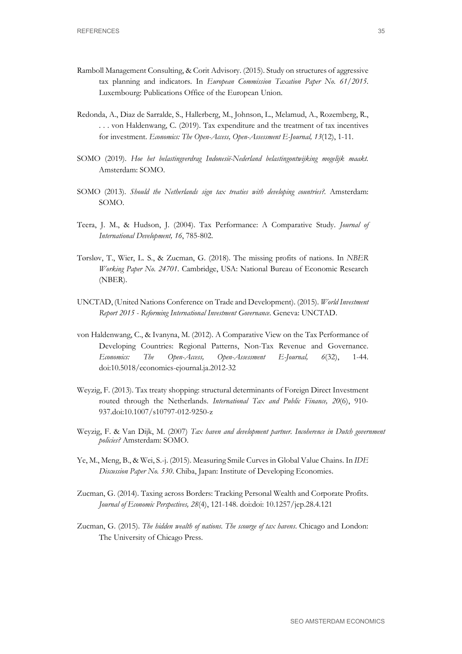- Ramboll Management Consulting, & Corit Advisory. (2015). Study on structures of aggressive tax planning and indicators. In *European Commission Taxation Paper No. 61/2015*. Luxembourg: Publications Office of the European Union.
- Redonda, A., Diaz de Sarralde, S., Hallerberg, M., Johnson, L., Melamud, A., Rozemberg, R., . . . von Haldenwang, C. (2019). Tax expenditure and the treatment of tax incentives for investment. *Economics: The Open-Access, Open-Assessment E-Journal, 13*(12), 1-11.
- SOMO (2019). *Hoe het belastingverdrag Indonesië-Nederland belastingontwijking mogelijk maakt.*  Amsterdam: SOMO.
- SOMO (2013). *Should the Netherlands sign tax treaties with developing countries?.* Amsterdam: SOMO.
- Teera, J. M., & Hudson, J. (2004). Tax Performance: A Comparative Study. *Journal of International Development, 16*, 785-802.
- Tørsløv, T., Wier, L. S., & Zucman, G. (2018). The missing profits of nations. In *NBER Working Paper No. 24701*. Cambridge, USA: National Bureau of Economic Research (NBER).
- UNCTAD, (United Nations Conference on Trade and Development). (2015). *World Investment Report 2015 - Reforming International Investment Governance*. Geneva: UNCTAD.
- von Haldenwang, C., & Ivanyna, M. (2012). A Comparative View on the Tax Performance of Developing Countries: Regional Patterns, Non-Tax Revenue and Governance. *Economics: The Open-Access, Open-Assessment E-Journal, 6*(32), 1-44. doi:10.5018/economics-ejournal.ja.2012-32
- Weyzig, F. (2013). Tax treaty shopping: structural determinants of Foreign Direct Investment routed through the Netherlands. *International Tax and Public Finance, 20*(6), 910- 937.doi:10.1007/s10797-012-9250-z
- Weyzig, F. & Van Dijk, M. (2007) *Tax haven and development partner. Incoherence in Dutch government policies?* Amsterdam: SOMO.
- Ye, M., Meng, B., & Wei, S.-j. (2015). Measuring Smile Curves in Global Value Chains. In *IDE Discussion Paper No. 530*. Chiba, Japan: Institute of Developing Economies.
- Zucman, G. (2014). Taxing across Borders: Tracking Personal Wealth and Corporate Profits. *Journal of Economic Perspectives, 28*(4), 121-148. doi:doi: 10.1257/jep.28.4.121
- Zucman, G. (2015). *The hidden wealth of nations. The scourge of tax havens*. Chicago and London: The University of Chicago Press.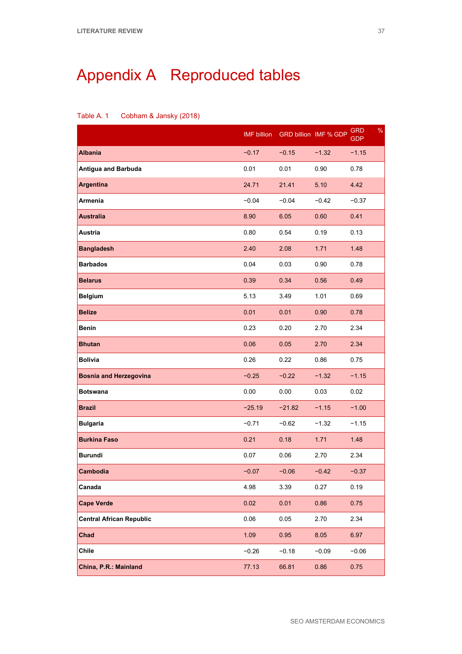# <span id="page-42-0"></span>Appendix A Reproduced tables

| Table A. 1 | Cobham & Jansky (2018) |  |
|------------|------------------------|--|
|------------|------------------------|--|

|                                 | <b>IMF</b> billion |          | GRD billion IMF % GDP | $\%$<br><b>GRD</b><br><b>GDP</b> |
|---------------------------------|--------------------|----------|-----------------------|----------------------------------|
| <b>Albania</b>                  | $-0.17$            | $-0.15$  | $-1.32$               | $-1.15$                          |
| <b>Antigua and Barbuda</b>      | 0.01               | 0.01     | 0.90                  | 0.78                             |
| <b>Argentina</b>                | 24.71              | 21.41    | 5.10                  | 4.42                             |
| Armenia                         | $-0.04$            | $-0.04$  | $-0.42$               | $-0.37$                          |
| <b>Australia</b>                | 8.90               | 6.05     | 0.60                  | 0.41                             |
| <b>Austria</b>                  | 0.80               | 0.54     | 0.19                  | 0.13                             |
| <b>Bangladesh</b>               | 2.40               | 2.08     | 1.71                  | 1.48                             |
| <b>Barbados</b>                 | 0.04               | 0.03     | 0.90                  | 0.78                             |
| <b>Belarus</b>                  | 0.39               | 0.34     | 0.56                  | 0.49                             |
| <b>Belgium</b>                  | 5.13               | 3.49     | 1.01                  | 0.69                             |
| <b>Belize</b>                   | 0.01               | 0.01     | 0.90                  | 0.78                             |
| <b>Benin</b>                    | 0.23               | 0.20     | 2.70                  | 2.34                             |
| <b>Bhutan</b>                   | 0.06               | 0.05     | 2.70                  | 2.34                             |
| <b>Bolivia</b>                  | 0.26               | 0.22     | 0.86                  | 0.75                             |
| <b>Bosnia and Herzegovina</b>   | $-0.25$            | $-0.22$  | $-1.32$               | $-1.15$                          |
| <b>Botswana</b>                 | 0.00               | 0.00     | 0.03                  | 0.02                             |
| <b>Brazil</b>                   | $-25.19$           | $-21.82$ | $-1.15$               | $-1.00$                          |
| <b>Bulgaria</b>                 | $-0.71$            | $-0.62$  | $-1.32$               | $-1.15$                          |
| <b>Burkina Faso</b>             | 0.21               | 0.18     | 1.71                  | 1.48                             |
| <b>Burundi</b>                  | 0.07               | 0.06     | 2.70                  | 2.34                             |
| Cambodia                        | $-0.07$            | $-0.06$  | $-0.42$               | $-0.37$                          |
| Canada                          | 4.98               | 3.39     | 0.27                  | 0.19                             |
| <b>Cape Verde</b>               | 0.02               | 0.01     | 0.86                  | 0.75                             |
| <b>Central African Republic</b> | 0.06               | 0.05     | 2.70                  | 2.34                             |
| Chad                            | 1.09               | 0.95     | 8.05                  | 6.97                             |
| Chile                           | $-0.26$            | $-0.18$  | $-0.09$               | $-0.06$                          |
| China, P.R.: Mainland           | 77.13              | 66.81    | 0.86                  | 0.75                             |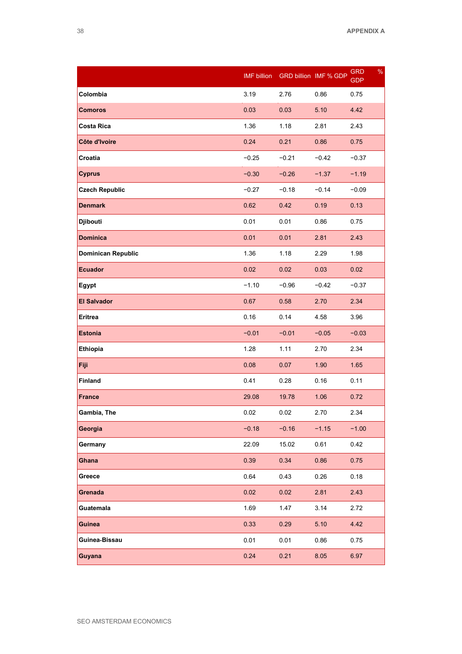|                           | <b>IMF</b> billion |         | <b>GRD billion IMF % GDP</b> | $\%$<br><b>GRD</b><br><b>GDP</b> |
|---------------------------|--------------------|---------|------------------------------|----------------------------------|
| Colombia                  | 3.19               | 2.76    | 0.86                         | 0.75                             |
| <b>Comoros</b>            | 0.03               | 0.03    | 5.10                         | 4.42                             |
| <b>Costa Rica</b>         | 1.36               | 1.18    | 2.81                         | 2.43                             |
| Côte d'Ivoire             | 0.24               | 0.21    | 0.86                         | 0.75                             |
| Croatia                   | $-0.25$            | $-0.21$ | $-0.42$                      | $-0.37$                          |
| <b>Cyprus</b>             | $-0.30$            | $-0.26$ | $-1.37$                      | $-1.19$                          |
| <b>Czech Republic</b>     | $-0.27$            | $-0.18$ | $-0.14$                      | $-0.09$                          |
| <b>Denmark</b>            | 0.62               | 0.42    | 0.19                         | 0.13                             |
| Djibouti                  | 0.01               | 0.01    | 0.86                         | 0.75                             |
| <b>Dominica</b>           | 0.01               | 0.01    | 2.81                         | 2.43                             |
| <b>Dominican Republic</b> | 1.36               | 1.18    | 2.29                         | 1.98                             |
| <b>Ecuador</b>            | 0.02               | 0.02    | 0.03                         | 0.02                             |
| <b>Egypt</b>              | $-1.10$            | $-0.96$ | $-0.42$                      | $-0.37$                          |
| <b>El Salvador</b>        | 0.67               | 0.58    | 2.70                         | 2.34                             |
| <b>Eritrea</b>            | 0.16               | 0.14    | 4.58                         | 3.96                             |
| <b>Estonia</b>            | $-0.01$            | $-0.01$ | $-0.05$                      | $-0.03$                          |
| <b>Ethiopia</b>           | 1.28               | 1.11    | 2.70                         | 2.34                             |
| Fiji                      | 0.08               | 0.07    | 1.90                         | 1.65                             |
| <b>Finland</b>            | 0.41               | 0.28    | 0.16                         | 0.11                             |
| <b>France</b>             | 29.08              | 19.78   | 1.06                         | 0.72                             |
| Gambia, The               | 0.02               | 0.02    | 2.70                         | 2.34                             |
| Georgia                   | $-0.18$            | $-0.16$ | $-1.15$                      | $-1.00$                          |
| Germany                   | 22.09              | 15.02   | 0.61                         | 0.42                             |
| Ghana                     | 0.39               | 0.34    | 0.86                         | 0.75                             |
| Greece                    | 0.64               | 0.43    | 0.26                         | 0.18                             |
| Grenada                   | 0.02               | 0.02    | 2.81                         | 2.43                             |
| Guatemala                 | 1.69               | 1.47    | 3.14                         | 2.72                             |
| Guinea                    | 0.33               | 0.29    | 5.10                         | 4.42                             |
| Guinea-Bissau             | 0.01               | 0.01    | 0.86                         | 0.75                             |
| Guyana                    | 0.24               | 0.21    | 8.05                         | 6.97                             |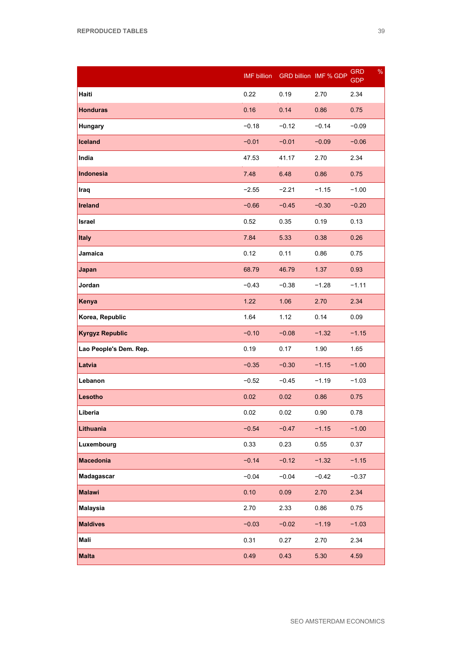|                        | <b>IMF</b> billion |         | <b>GRD billion IMF % GDP</b> | %<br>GRD<br><b>GDP</b> |
|------------------------|--------------------|---------|------------------------------|------------------------|
| Haiti                  | 0.22               | 0.19    | 2.70                         | 2.34                   |
| <b>Honduras</b>        | 0.16               | 0.14    | 0.86                         | 0.75                   |
| Hungary                | $-0.18$            | $-0.12$ | $-0.14$                      | $-0.09$                |
| Iceland                | $-0.01$            | $-0.01$ | $-0.09$                      | $-0.06$                |
| India                  | 47.53              | 41.17   | 2.70                         | 2.34                   |
| Indonesia              | 7.48               | 6.48    | 0.86                         | 0.75                   |
| Iraq                   | $-2.55$            | $-2.21$ | $-1.15$                      | $-1.00$                |
| Ireland                | $-0.66$            | $-0.45$ | $-0.30$                      | $-0.20$                |
| Israel                 | 0.52               | 0.35    | 0.19                         | 0.13                   |
| <b>Italy</b>           | 7.84               | 5.33    | 0.38                         | 0.26                   |
| Jamaica                | 0.12               | 0.11    | 0.86                         | 0.75                   |
| Japan                  | 68.79              | 46.79   | 1.37                         | 0.93                   |
| Jordan                 | $-0.43$            | $-0.38$ | $-1.28$                      | $-1.11$                |
| Kenya                  | 1.22               | 1.06    | 2.70                         | 2.34                   |
| Korea, Republic        | 1.64               | 1.12    | 0.14                         | 0.09                   |
| <b>Kyrgyz Republic</b> | $-0.10$            | $-0.08$ | $-1.32$                      | $-1.15$                |
| Lao People's Dem. Rep. | 0.19               | 0.17    | 1.90                         | 1.65                   |
| Latvia                 | $-0.35$            | $-0.30$ | $-1.15$                      | $-1.00$                |
| Lebanon                | $-0.52$            | $-0.45$ | $-1.19$                      | $-1.03$                |
| Lesotho                | 0.02               | 0.02    | 0.86                         | 0.75                   |
| Liberia                | 0.02               | 0.02    | 0.90                         | 0.78                   |
| Lithuania              | $-0.54$            | $-0.47$ | $-1.15$                      | $-1.00$                |
| Luxembourg             | 0.33               | 0.23    | 0.55                         | 0.37                   |
| <b>Macedonia</b>       | $-0.14$            | $-0.12$ | $-1.32$                      | $-1.15$                |
| Madagascar             | $-0.04$            | $-0.04$ | $-0.42$                      | $-0.37$                |
| <b>Malawi</b>          | 0.10               | 0.09    | 2.70                         | 2.34                   |
| <b>Malaysia</b>        | 2.70               | 2.33    | 0.86                         | 0.75                   |
| <b>Maldives</b>        | $-0.03$            | $-0.02$ | $-1.19$                      | $-1.03$                |
| Mali                   | 0.31               | 0.27    | 2.70                         | 2.34                   |
| <b>Malta</b>           | 0.49               | 0.43    | 5.30                         | 4.59                   |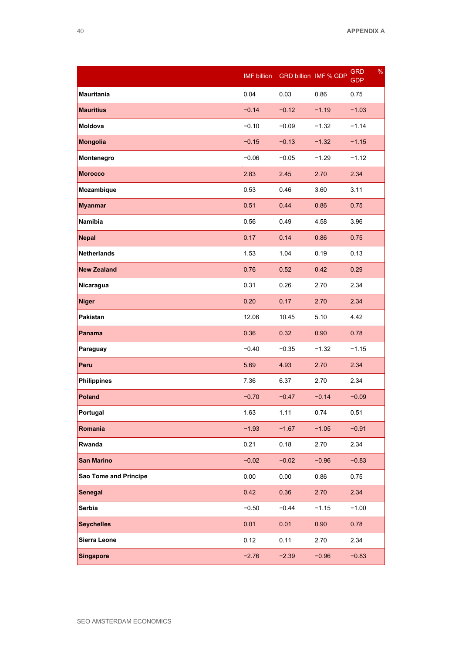|                       | <b>IMF</b> billion |         | <b>GRD billion IMF % GDP</b> | %<br><b>GRD</b><br><b>GDP</b> |
|-----------------------|--------------------|---------|------------------------------|-------------------------------|
| <b>Mauritania</b>     | 0.04               | 0.03    | 0.86                         | 0.75                          |
| <b>Mauritius</b>      | $-0.14$            | $-0.12$ | $-1.19$                      | $-1.03$                       |
| Moldova               | $-0.10$            | $-0.09$ | $-1.32$                      | $-1.14$                       |
| <b>Mongolia</b>       | $-0.15$            | $-0.13$ | $-1.32$                      | $-1.15$                       |
| Montenegro            | $-0.06$            | $-0.05$ | $-1.29$                      | $-1.12$                       |
| <b>Morocco</b>        | 2.83               | 2.45    | 2.70                         | 2.34                          |
| Mozambique            | 0.53               | 0.46    | 3.60                         | 3.11                          |
| <b>Myanmar</b>        | 0.51               | 0.44    | 0.86                         | 0.75                          |
| Namibia               | 0.56               | 0.49    | 4.58                         | 3.96                          |
| <b>Nepal</b>          | 0.17               | 0.14    | 0.86                         | 0.75                          |
| <b>Netherlands</b>    | 1.53               | 1.04    | 0.19                         | 0.13                          |
| <b>New Zealand</b>    | 0.76               | 0.52    | 0.42                         | 0.29                          |
| Nicaragua             | 0.31               | 0.26    | 2.70                         | 2.34                          |
| <b>Niger</b>          | 0.20               | 0.17    | 2.70                         | 2.34                          |
| Pakistan              | 12.06              | 10.45   | 5.10                         | 4.42                          |
| Panama                | 0.36               | 0.32    | 0.90                         | 0.78                          |
| Paraguay              | $-0.40$            | $-0.35$ | $-1.32$                      | $-1.15$                       |
| Peru                  | 5.69               | 4.93    | 2.70                         | 2.34                          |
| <b>Philippines</b>    | 7.36               | 6.37    | 2.70                         | 2.34                          |
| <b>Poland</b>         | $-0.70$            | $-0.47$ | $-0.14$                      | $-0.09$                       |
| Portugal              | 1.63               | 1.11    | 0.74                         | 0.51                          |
| Romania               | $-1.93$            | $-1.67$ | $-1.05$                      | $-0.91$                       |
| Rwanda                | 0.21               | 0.18    | 2.70                         | 2.34                          |
| <b>San Marino</b>     | $-0.02$            | $-0.02$ | $-0.96$                      | $-0.83$                       |
| Sao Tome and Principe | 0.00               | 0.00    | 0.86                         | 0.75                          |
| <b>Senegal</b>        | 0.42               | 0.36    | 2.70                         | 2.34                          |
| Serbia                | $-0.50$            | $-0.44$ | $-1.15$                      | $-1.00$                       |
| <b>Seychelles</b>     | 0.01               | 0.01    | 0.90                         | 0.78                          |
| Sierra Leone          | 0.12               | 0.11    | 2.70                         | 2.34                          |
| <b>Singapore</b>      | $-2.76$            | $-2.39$ | $-0.96$                      | $-0.83$                       |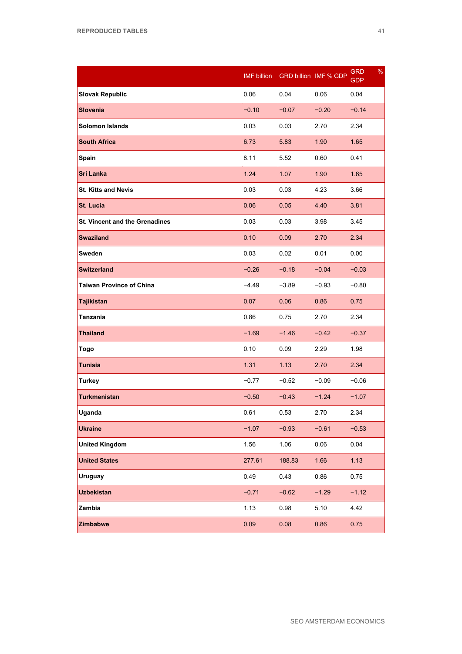|                                       | <b>IMF</b> billion |         | GRD billion IMF % GDP | $\frac{9}{6}$<br><b>GRD</b><br><b>GDP</b> |
|---------------------------------------|--------------------|---------|-----------------------|-------------------------------------------|
| <b>Slovak Republic</b>                | 0.06               | 0.04    | 0.06                  | 0.04                                      |
| <b>Slovenia</b>                       | $-0.10$            | $-0.07$ | $-0.20$               | $-0.14$                                   |
| <b>Solomon Islands</b>                | 0.03               | 0.03    | 2.70                  | 2.34                                      |
| <b>South Africa</b>                   | 6.73               | 5.83    | 1.90                  | 1.65                                      |
| Spain                                 | 8.11               | 5.52    | 0.60                  | 0.41                                      |
| <b>Sri Lanka</b>                      | 1.24               | 1.07    | 1.90                  | 1.65                                      |
| <b>St. Kitts and Nevis</b>            | 0.03               | 0.03    | 4.23                  | 3.66                                      |
| St. Lucia                             | 0.06               | 0.05    | 4.40                  | 3.81                                      |
| <b>St. Vincent and the Grenadines</b> | 0.03               | 0.03    | 3.98                  | 3.45                                      |
| <b>Swaziland</b>                      | 0.10               | 0.09    | 2.70                  | 2.34                                      |
| Sweden                                | 0.03               | 0.02    | 0.01                  | 0.00                                      |
| <b>Switzerland</b>                    | $-0.26$            | $-0.18$ | $-0.04$               | $-0.03$                                   |
| <b>Taiwan Province of China</b>       | $-4.49$            | $-3.89$ | $-0.93$               | $-0.80$                                   |
| <b>Tajikistan</b>                     | 0.07               | 0.06    | 0.86                  | 0.75                                      |
| Tanzania                              | 0.86               | 0.75    | 2.70                  | 2.34                                      |
| <b>Thailand</b>                       | $-1.69$            | $-1.46$ | $-0.42$               | $-0.37$                                   |
| Togo                                  | 0.10               | 0.09    | 2.29                  | 1.98                                      |
| <b>Tunisia</b>                        | 1.31               | 1.13    | 2.70                  | 2.34                                      |
| <b>Turkey</b>                         | $-0.77$            | $-0.52$ | $-0.09$               | $-0.06$                                   |
| <b>Turkmenistan</b>                   | $-0.50$            | $-0.43$ | $-1.24$               | $-1.07$                                   |
| Uganda                                | 0.61               | 0.53    | 2.70                  | 2.34                                      |
| <b>Ukraine</b>                        | $-1.07$            | $-0.93$ | $-0.61$               | $-0.53$                                   |
| <b>United Kingdom</b>                 | 1.56               | 1.06    | 0.06                  | 0.04                                      |
| <b>United States</b>                  | 277.61             | 188.83  | 1.66                  | 1.13                                      |
| <b>Uruguay</b>                        | 0.49               | 0.43    | 0.86                  | 0.75                                      |
| <b>Uzbekistan</b>                     | $-0.71$            | $-0.62$ | $-1.29$               | $-1.12$                                   |
| Zambia                                | 1.13               | 0.98    | 5.10                  | 4.42                                      |
| Zimbabwe                              | 0.09               | 0.08    | 0.86                  | 0.75                                      |